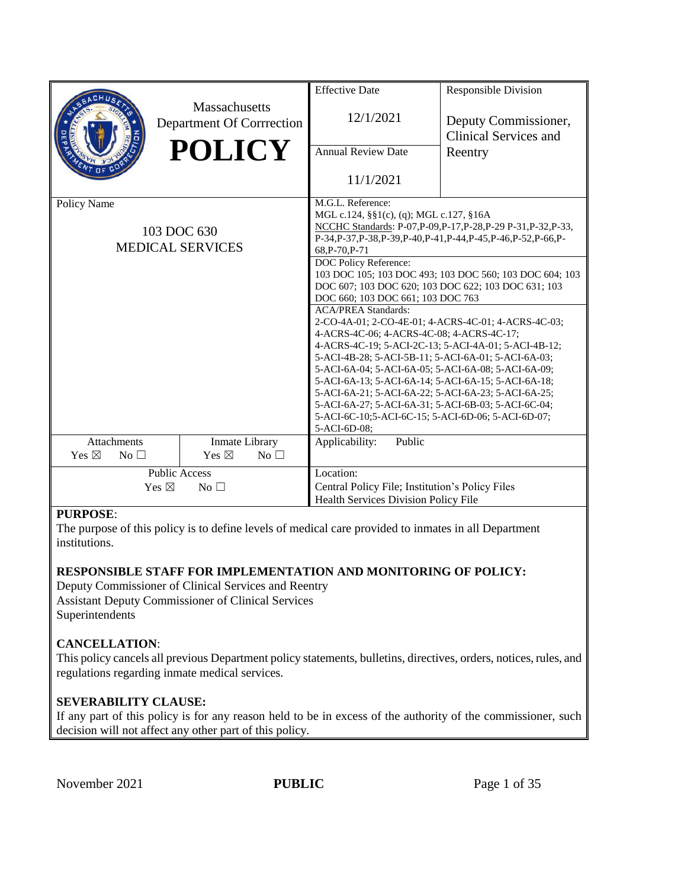|                                    |                                            | <b>Effective Date</b>                                                                                                                   | <b>Responsible Division</b>                                                       |  |  |
|------------------------------------|--------------------------------------------|-----------------------------------------------------------------------------------------------------------------------------------------|-----------------------------------------------------------------------------------|--|--|
|                                    | Massachusetts<br>Department Of Corrrection | 12/1/2021                                                                                                                               | Deputy Commissioner,<br><b>Clinical Services and</b>                              |  |  |
|                                    | <b>POLICY</b>                              | <b>Annual Review Date</b>                                                                                                               | Reentry                                                                           |  |  |
|                                    |                                            | 11/1/2021                                                                                                                               |                                                                                   |  |  |
| Policy Name                        |                                            | M.G.L. Reference:                                                                                                                       |                                                                                   |  |  |
|                                    |                                            | MGL c.124, §§1(c), (q); MGL c.127, §16A                                                                                                 |                                                                                   |  |  |
|                                    | 103 DOC 630                                | NCCHC Standards: P-07, P-09, P-17, P-28, P-29 P-31, P-32, P-33,<br>P-34, P-37, P-38, P-39, P-40, P-41, P-44, P-45, P-46, P-52, P-66, P- |                                                                                   |  |  |
| <b>MEDICAL SERVICES</b>            |                                            | 68, P-70, P-71                                                                                                                          |                                                                                   |  |  |
|                                    |                                            | DOC Policy Reference:                                                                                                                   |                                                                                   |  |  |
|                                    |                                            | 103 DOC 105; 103 DOC 493; 103 DOC 560; 103 DOC 604; 103                                                                                 |                                                                                   |  |  |
|                                    |                                            | DOC 607; 103 DOC 620; 103 DOC 622; 103 DOC 631; 103                                                                                     |                                                                                   |  |  |
|                                    |                                            | DOC 660; 103 DOC 661; 103 DOC 763                                                                                                       |                                                                                   |  |  |
|                                    |                                            |                                                                                                                                         | <b>ACA/PREA Standards:</b><br>2-CO-4A-01; 2-CO-4E-01; 4-ACRS-4C-01; 4-ACRS-4C-03; |  |  |
|                                    |                                            | 4-ACRS-4C-06; 4-ACRS-4C-08; 4-ACRS-4C-17;                                                                                               |                                                                                   |  |  |
|                                    |                                            | 4-ACRS-4C-19; 5-ACI-2C-13; 5-ACI-4A-01; 5-ACI-4B-12;                                                                                    |                                                                                   |  |  |
|                                    |                                            | 5-ACI-4B-28; 5-ACI-5B-11; 5-ACI-6A-01; 5-ACI-6A-03;                                                                                     |                                                                                   |  |  |
|                                    |                                            | 5-ACI-6A-04; 5-ACI-6A-05; 5-ACI-6A-08; 5-ACI-6A-09;                                                                                     |                                                                                   |  |  |
|                                    |                                            | 5-ACI-6A-13; 5-ACI-6A-14; 5-ACI-6A-15; 5-ACI-6A-18;                                                                                     |                                                                                   |  |  |
|                                    |                                            | 5-ACI-6A-21; 5-ACI-6A-22; 5-ACI-6A-23; 5-ACI-6A-25;                                                                                     |                                                                                   |  |  |
|                                    |                                            | 5-ACI-6A-27; 5-ACI-6A-31; 5-ACI-6B-03; 5-ACI-6C-04;<br>5-ACI-6C-10;5-ACI-6C-15; 5-ACI-6D-06; 5-ACI-6D-07;                               |                                                                                   |  |  |
|                                    |                                            | 5-ACI-6D-08;                                                                                                                            |                                                                                   |  |  |
| <b>Attachments</b>                 | Inmate Library                             | Public<br>Applicability:                                                                                                                |                                                                                   |  |  |
| Yes $\boxtimes$<br>No <sub>1</sub> | Yes $\boxtimes$<br>No $\square$            |                                                                                                                                         |                                                                                   |  |  |
| <b>Public Access</b>               |                                            | Location:                                                                                                                               |                                                                                   |  |  |
| Yes $\boxtimes$<br>No <sub>1</sub> |                                            | Central Policy File; Institution's Policy Files                                                                                         |                                                                                   |  |  |
|                                    |                                            | <b>Health Services Division Policy File</b>                                                                                             |                                                                                   |  |  |

# **PURPOSE**:

The purpose of this policy is to define levels of medical care provided to inmates in all Department institutions.

### **RESPONSIBLE STAFF FOR IMPLEMENTATION AND MONITORING OF POLICY:**

Deputy Commissioner of Clinical Services and Reentry Assistant Deputy Commissioner of Clinical Services Superintendents

### **CANCELLATION**:

This policy cancels all previous Department policy statements, bulletins, directives, orders, notices, rules, and regulations regarding inmate medical services.

### **SEVERABILITY CLAUSE:**

If any part of this policy is for any reason held to be in excess of the authority of the commissioner, such decision will not affect any other part of this policy.

November 2021 **PUBLIC** Page 1 of 35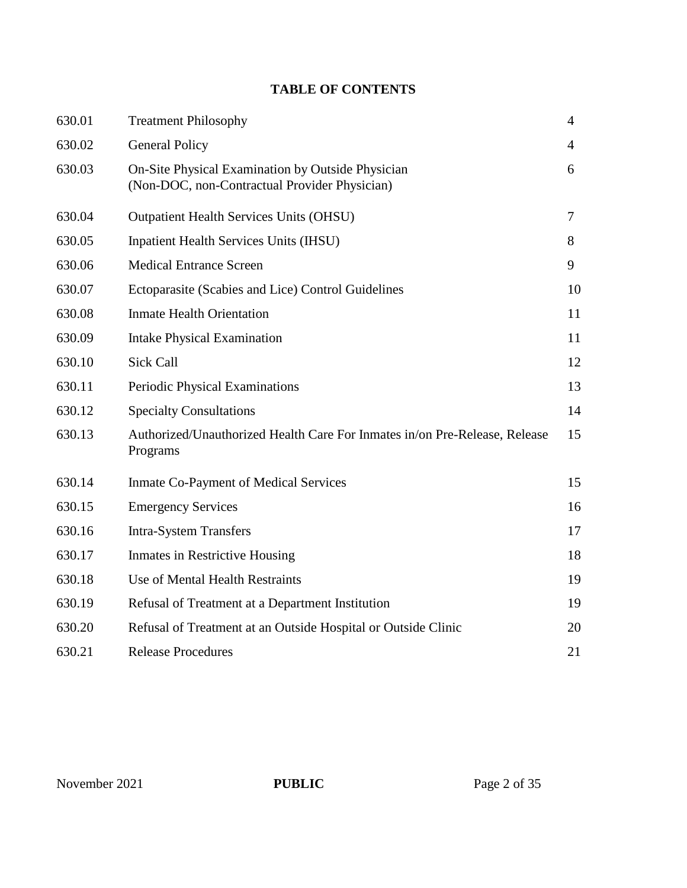# **TABLE OF CONTENTS**

| 630.01 | <b>Treatment Philosophy</b>                                                                        | $\overline{4}$ |
|--------|----------------------------------------------------------------------------------------------------|----------------|
| 630.02 | <b>General Policy</b>                                                                              | 4              |
| 630.03 | On-Site Physical Examination by Outside Physician<br>(Non-DOC, non-Contractual Provider Physician) | 6              |
| 630.04 | <b>Outpatient Health Services Units (OHSU)</b>                                                     | $\tau$         |
| 630.05 | <b>Inpatient Health Services Units (IHSU)</b>                                                      | 8              |
| 630.06 | <b>Medical Entrance Screen</b>                                                                     | 9              |
| 630.07 | Ectoparasite (Scabies and Lice) Control Guidelines                                                 | 10             |
| 630.08 | <b>Inmate Health Orientation</b>                                                                   | 11             |
| 630.09 | <b>Intake Physical Examination</b>                                                                 | 11             |
| 630.10 | <b>Sick Call</b>                                                                                   | 12             |
| 630.11 | Periodic Physical Examinations                                                                     | 13             |
| 630.12 | <b>Specialty Consultations</b>                                                                     | 14             |
| 630.13 | Authorized/Unauthorized Health Care For Inmates in/on Pre-Release, Release<br>Programs             | 15             |
| 630.14 | <b>Inmate Co-Payment of Medical Services</b>                                                       | 15             |
| 630.15 | <b>Emergency Services</b>                                                                          | 16             |
| 630.16 | <b>Intra-System Transfers</b>                                                                      | 17             |
| 630.17 | <b>Inmates in Restrictive Housing</b>                                                              | 18             |
| 630.18 | Use of Mental Health Restraints                                                                    | 19             |
| 630.19 | Refusal of Treatment at a Department Institution                                                   | 19             |
| 630.20 | Refusal of Treatment at an Outside Hospital or Outside Clinic                                      | 20             |
| 630.21 | <b>Release Procedures</b>                                                                          | 21             |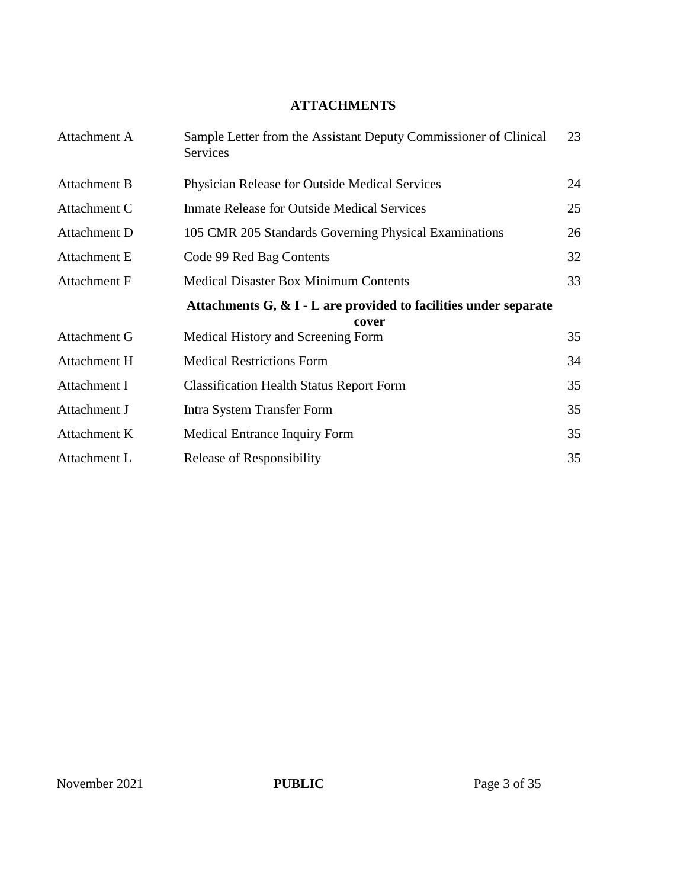# **ATTACHMENTS**

| Attachment A        | Sample Letter from the Assistant Deputy Commissioner of Clinical<br>Services | 23 |
|---------------------|------------------------------------------------------------------------------|----|
| <b>Attachment B</b> | Physician Release for Outside Medical Services                               | 24 |
| Attachment C        | <b>Inmate Release for Outside Medical Services</b>                           | 25 |
| Attachment D        | 105 CMR 205 Standards Governing Physical Examinations                        | 26 |
| <b>Attachment E</b> | Code 99 Red Bag Contents                                                     | 32 |
| <b>Attachment F</b> | <b>Medical Disaster Box Minimum Contents</b>                                 | 33 |
|                     | Attachments $G, \& I$ - L are provided to facilities under separate<br>cover |    |
| Attachment G        | Medical History and Screening Form                                           | 35 |
| Attachment H        | <b>Medical Restrictions Form</b>                                             | 34 |
| Attachment I        | <b>Classification Health Status Report Form</b>                              | 35 |
| Attachment J        | Intra System Transfer Form                                                   | 35 |
| Attachment K        | <b>Medical Entrance Inquiry Form</b>                                         | 35 |
| Attachment L        | Release of Responsibility                                                    | 35 |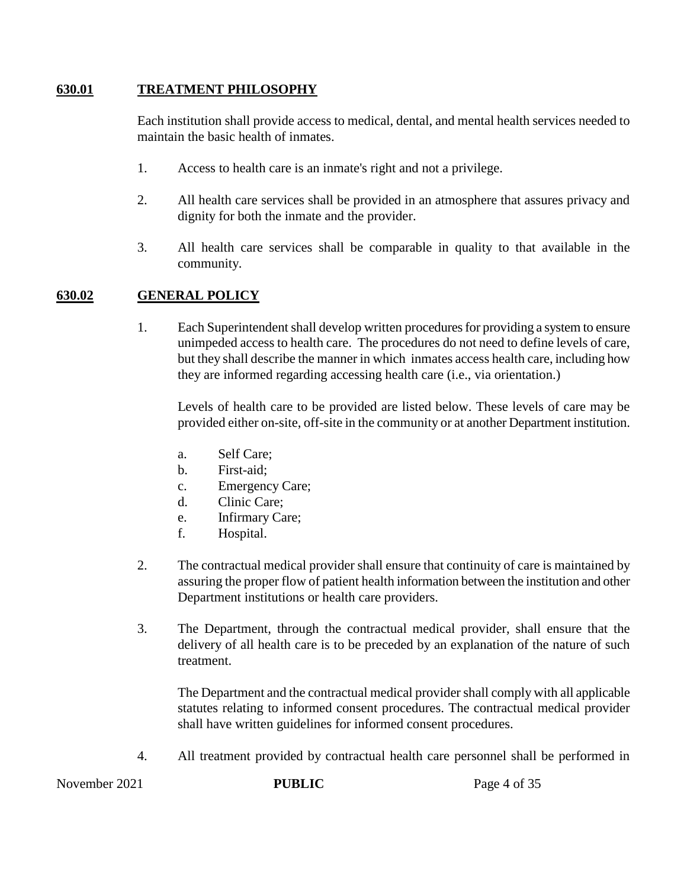### **630.01 TREATMENT PHILOSOPHY**

Each institution shall provide access to medical, dental, and mental health services needed to maintain the basic health of inmates.

- 1. Access to health care is an inmate's right and not a privilege.
- 2. All health care services shall be provided in an atmosphere that assures privacy and dignity for both the inmate and the provider.
- 3. All health care services shall be comparable in quality to that available in the community.

# **630.02 GENERAL POLICY**

1. Each Superintendent shall develop written procedures for providing a system to ensure unimpeded access to health care. The procedures do not need to define levels of care, but they shall describe the manner in which inmates access health care, including how they are informed regarding accessing health care (i.e., via orientation.)

Levels of health care to be provided are listed below. These levels of care may be provided either on-site, off-site in the community or at another Department institution.

- a. Self Care;
- b. First-aid;
- c. Emergency Care;
- d. Clinic Care;
- e. Infirmary Care;
- f. Hospital.
- 2. The contractual medical provider shall ensure that continuity of care is maintained by assuring the proper flow of patient health information between the institution and other Department institutions or health care providers.
- 3. The Department, through the contractual medical provider, shall ensure that the delivery of all health care is to be preceded by an explanation of the nature of such treatment.

The Department and the contractual medical provider shall comply with all applicable statutes relating to informed consent procedures. The contractual medical provider shall have written guidelines for informed consent procedures.

4. All treatment provided by contractual health care personnel shall be performed in

November 2021 **PUBLIC** Page 4 of 35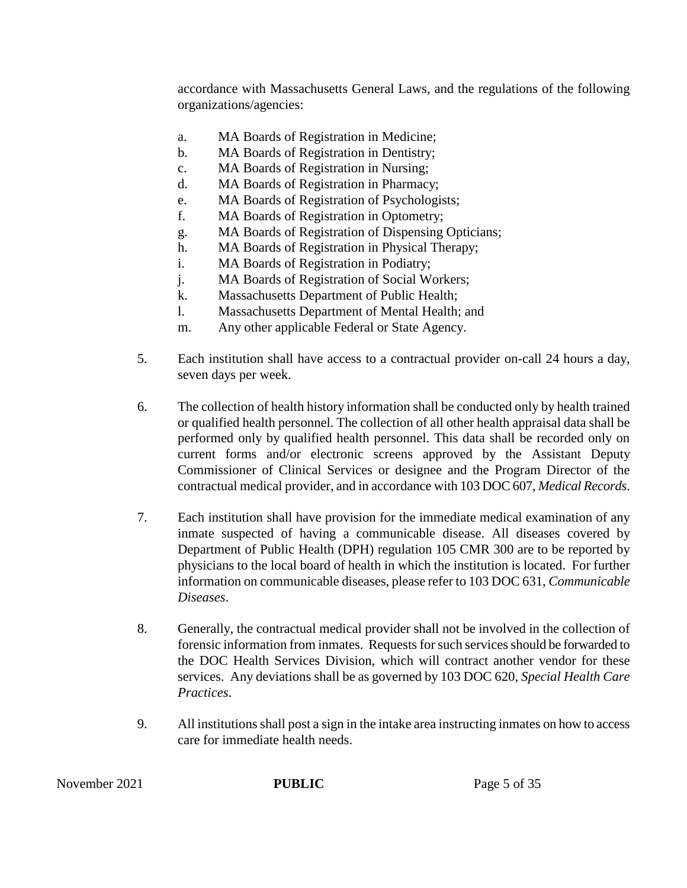accordance with Massachusetts General Laws, and the regulations of the following organizations/agencies:

- a. MA Boards of Registration in Medicine;
- b. MA Boards of Registration in Dentistry;
- c. MA Boards of Registration in Nursing;
- d. MA Boards of Registration in Pharmacy;
- e. MA Boards of Registration of Psychologists;
- f. MA Boards of Registration in Optometry;
- g. MA Boards of Registration of Dispensing Opticians;
- h. MA Boards of Registration in Physical Therapy;
- i. MA Boards of Registration in Podiatry;
- j. MA Boards of Registration of Social Workers;
- k. Massachusetts Department of Public Health;
- l. Massachusetts Department of Mental Health; and
- m. Any other applicable Federal or State Agency.
- 5. Each institution shall have access to a contractual provider on-call 24 hours a day, seven days per week.
- 6. The collection of health history information shall be conducted only by health trained or qualified health personnel. The collection of all other health appraisal data shall be performed only by qualified health personnel. This data shall be recorded only on current forms and/or electronic screens approved by the Assistant Deputy Commissioner of Clinical Services or designee and the Program Director of the contractual medical provider, and in accordance with 103 DOC 607, *Medical Records*.
- 7. Each institution shall have provision for the immediate medical examination of any inmate suspected of having a communicable disease. All diseases covered by Department of Public Health (DPH) regulation 105 CMR 300 are to be reported by physicians to the local board of health in which the institution is located. For further information on communicable diseases, please refer to 103 DOC 631, *Communicable Diseases*.
- 8. Generally, the contractual medical provider shall not be involved in the collection of forensic information from inmates. Requests for such services should be forwarded to the DOC Health Services Division, which will contract another vendor for these services. Any deviations shall be as governed by 103 DOC 620, *Special Health Care Practices*.
- 9. All institutions shall post a sign in the intake area instructing inmates on how to access care for immediate health needs.

November 2021 **PUBLIC** Page 5 of 35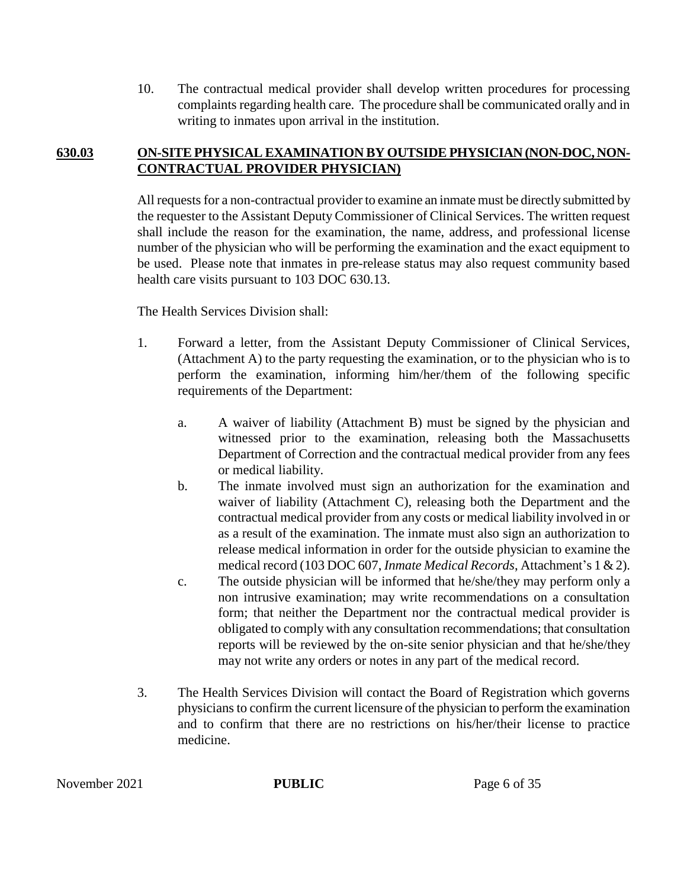10. The contractual medical provider shall develop written procedures for processing complaints regarding health care. The procedure shall be communicated orally and in writing to inmates upon arrival in the institution.

# **630.03 ON-SITE PHYSICAL EXAMINATION BY OUTSIDE PHYSICIAN (NON-DOC, NON-CONTRACTUAL PROVIDER PHYSICIAN)**

All requests for a non-contractual provider to examine an inmate must be directly submitted by the requester to the Assistant Deputy Commissioner of Clinical Services. The written request shall include the reason for the examination, the name, address, and professional license number of the physician who will be performing the examination and the exact equipment to be used. Please note that inmates in pre-release status may also request community based health care visits pursuant to 103 DOC 630.13.

The Health Services Division shall:

- 1. Forward a letter, from the Assistant Deputy Commissioner of Clinical Services, (Attachment A) to the party requesting the examination, or to the physician who is to perform the examination, informing him/her/them of the following specific requirements of the Department:
	- a. A waiver of liability (Attachment B) must be signed by the physician and witnessed prior to the examination, releasing both the Massachusetts Department of Correction and the contractual medical provider from any fees or medical liability.
	- b. The inmate involved must sign an authorization for the examination and waiver of liability (Attachment C), releasing both the Department and the contractual medical provider from any costs or medical liability involved in or as a result of the examination. The inmate must also sign an authorization to release medical information in order for the outside physician to examine the medical record (103 DOC 607, *Inmate Medical Records*, Attachment's 1 & 2).
	- c. The outside physician will be informed that he/she/they may perform only a non intrusive examination; may write recommendations on a consultation form; that neither the Department nor the contractual medical provider is obligated to comply with any consultation recommendations; that consultation reports will be reviewed by the on-site senior physician and that he/she/they may not write any orders or notes in any part of the medical record.
- 3. The Health Services Division will contact the Board of Registration which governs physicians to confirm the current licensure of the physician to perform the examination and to confirm that there are no restrictions on his/her/their license to practice medicine.

November 2021 **PUBLIC** Page 6 of 35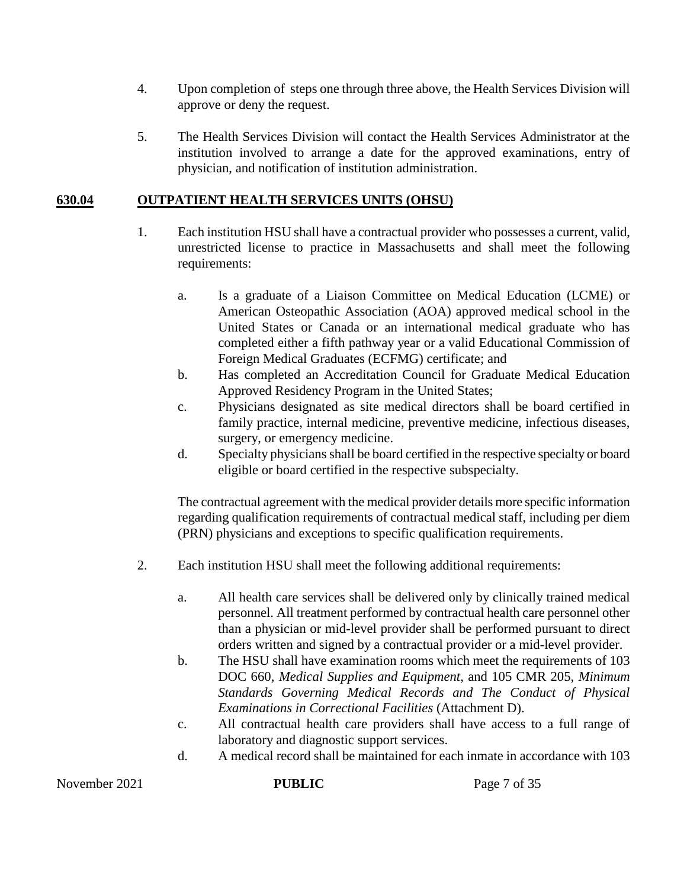- 4. Upon completion of steps one through three above, the Health Services Division will approve or deny the request.
- 5. The Health Services Division will contact the Health Services Administrator at the institution involved to arrange a date for the approved examinations, entry of physician, and notification of institution administration.

# **630.04 OUTPATIENT HEALTH SERVICES UNITS (OHSU)**

- 1. Each institution HSU shall have a contractual provider who possesses a current, valid, unrestricted license to practice in Massachusetts and shall meet the following requirements:
	- a. Is a graduate of a Liaison Committee on Medical Education (LCME) or American Osteopathic Association (AOA) approved medical school in the United States or Canada or an international medical graduate who has completed either a fifth pathway year or a valid Educational Commission of Foreign Medical Graduates (ECFMG) certificate; and
	- b. Has completed an Accreditation Council for Graduate Medical Education Approved Residency Program in the United States;
	- c. Physicians designated as site medical directors shall be board certified in family practice, internal medicine, preventive medicine, infectious diseases, surgery, or emergency medicine.
	- d. Specialty physiciansshall be board certified in the respective specialty or board eligible or board certified in the respective subspecialty.

The contractual agreement with the medical provider details more specific information regarding qualification requirements of contractual medical staff, including per diem (PRN) physicians and exceptions to specific qualification requirements.

- 2. Each institution HSU shall meet the following additional requirements:
	- a. All health care services shall be delivered only by clinically trained medical personnel. All treatment performed by contractual health care personnel other than a physician or mid-level provider shall be performed pursuant to direct orders written and signed by a contractual provider or a mid-level provider.
	- b. The HSU shall have examination rooms which meet the requirements of 103 DOC 660, *Medical Supplies and Equipment*, and 105 CMR 205, *Minimum Standards Governing Medical Records and The Conduct of Physical Examinations in Correctional Facilities* (Attachment D).
	- c. All contractual health care providers shall have access to a full range of laboratory and diagnostic support services.
	- d. A medical record shall be maintained for each inmate in accordance with 103

November 2021 **PUBLIC** Page 7 of 35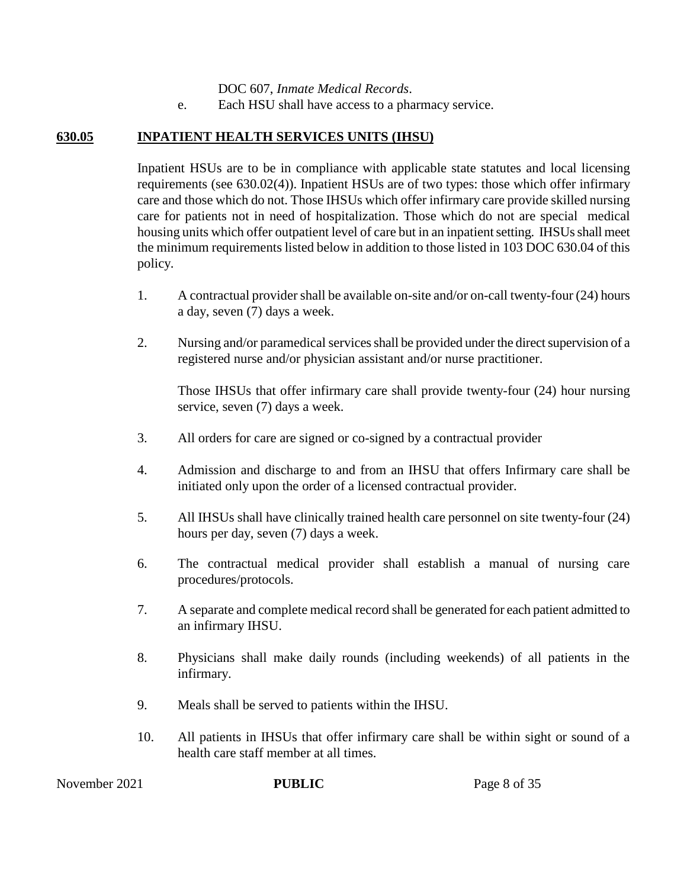DOC 607, *Inmate Medical Records*.

e. Each HSU shall have access to a pharmacy service.

### **630.05 INPATIENT HEALTH SERVICES UNITS (IHSU)**

Inpatient HSUs are to be in compliance with applicable state statutes and local licensing requirements (see 630.02(4)). Inpatient HSUs are of two types: those which offer infirmary care and those which do not. Those IHSUs which offer infirmary care provide skilled nursing care for patients not in need of hospitalization. Those which do not are special medical housing units which offer outpatient level of care but in an inpatient setting. IHSUs shall meet the minimum requirements listed below in addition to those listed in 103 DOC 630.04 of this policy.

- 1. A contractual provider shall be available on-site and/or on-call twenty-four (24) hours a day, seven (7) days a week.
- 2. Nursing and/or paramedical services shall be provided under the direct supervision of a registered nurse and/or physician assistant and/or nurse practitioner.

Those IHSUs that offer infirmary care shall provide twenty-four (24) hour nursing service, seven (7) days a week.

- 3. All orders for care are signed or co-signed by a contractual provider
- 4. Admission and discharge to and from an IHSU that offers Infirmary care shall be initiated only upon the order of a licensed contractual provider.
- 5. All IHSUs shall have clinically trained health care personnel on site twenty-four (24) hours per day, seven (7) days a week.
- 6. The contractual medical provider shall establish a manual of nursing care procedures/protocols.
- 7. A separate and complete medical record shall be generated for each patient admitted to an infirmary IHSU.
- 8. Physicians shall make daily rounds (including weekends) of all patients in the infirmary.
- 9. Meals shall be served to patients within the IHSU.
- 10. All patients in IHSUs that offer infirmary care shall be within sight or sound of a health care staff member at all times.

November 2021 **PUBLIC** Page 8 of 35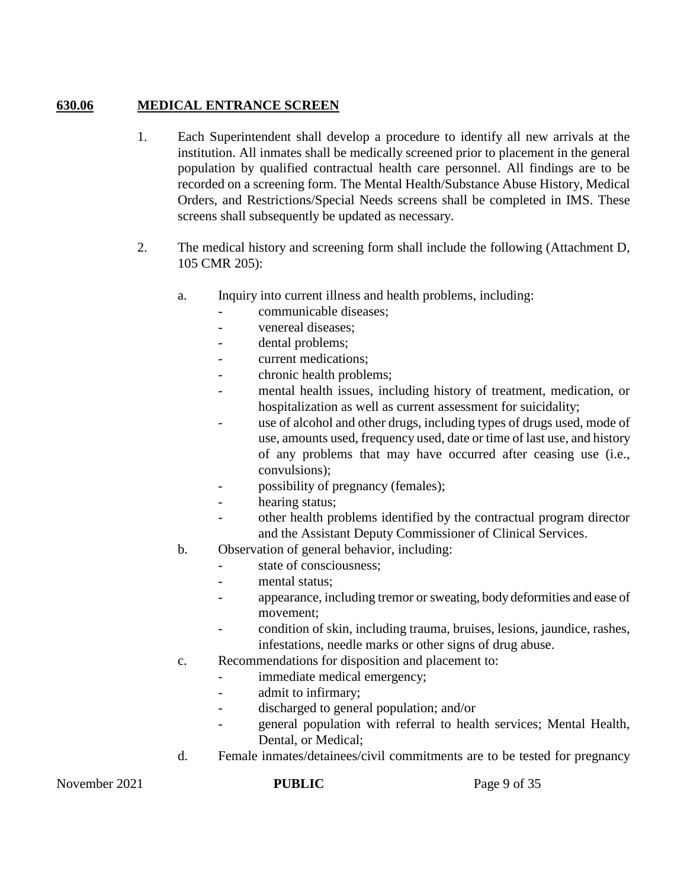# **630.06 MEDICAL ENTRANCE SCREEN**

- 1. Each Superintendent shall develop a procedure to identify all new arrivals at the institution. All inmates shall be medically screened prior to placement in the general population by qualified contractual health care personnel. All findings are to be recorded on a screening form. The Mental Health/Substance Abuse History, Medical Orders, and Restrictions/Special Needs screens shall be completed in IMS. These screens shall subsequently be updated as necessary.
- 2. The medical history and screening form shall include the following (Attachment D, 105 CMR 205):
	- a. Inquiry into current illness and health problems, including:
		- communicable diseases;
		- venereal diseases:
		- dental problems:
		- current medications:
		- chronic health problems;
		- mental health issues, including history of treatment, medication, or hospitalization as well as current assessment for suicidality;
		- use of alcohol and other drugs, including types of drugs used, mode of use, amounts used, frequency used, date or time of last use, and history of any problems that may have occurred after ceasing use (i.e., convulsions);
		- possibility of pregnancy (females);
		- hearing status;
		- other health problems identified by the contractual program director and the Assistant Deputy Commissioner of Clinical Services.
	- b. Observation of general behavior, including:
		- state of consciousness;
		- mental status:
		- appearance, including tremor or sweating, body deformities and ease of movement;
		- condition of skin, including trauma, bruises, lesions, jaundice, rashes, infestations, needle marks or other signs of drug abuse.
	- c. Recommendations for disposition and placement to:
		- immediate medical emergency;
		- admit to infirmary;
		- discharged to general population; and/or
		- general population with referral to health services; Mental Health, Dental, or Medical;
	- d. Female inmates/detainees/civil commitments are to be tested for pregnancy

November 2021 **PUBLIC** Page 9 of 35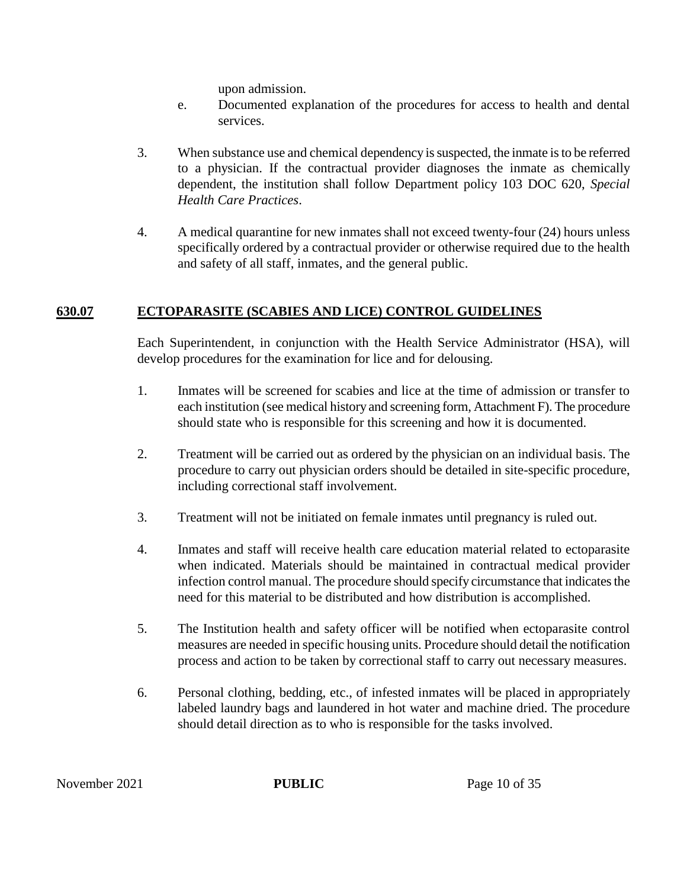upon admission.

- e. Documented explanation of the procedures for access to health and dental services.
- 3. When substance use and chemical dependency is suspected, the inmate is to be referred to a physician. If the contractual provider diagnoses the inmate as chemically dependent, the institution shall follow Department policy 103 DOC 620, *Special Health Care Practices*.
- 4. A medical quarantine for new inmates shall not exceed twenty-four (24) hours unless specifically ordered by a contractual provider or otherwise required due to the health and safety of all staff, inmates, and the general public.

# **630.07 ECTOPARASITE (SCABIES AND LICE) CONTROL GUIDELINES**

Each Superintendent, in conjunction with the Health Service Administrator (HSA), will develop procedures for the examination for lice and for delousing.

- 1. Inmates will be screened for scabies and lice at the time of admission or transfer to each institution (see medical history and screening form, Attachment F). The procedure should state who is responsible for this screening and how it is documented.
- 2. Treatment will be carried out as ordered by the physician on an individual basis. The procedure to carry out physician orders should be detailed in site-specific procedure, including correctional staff involvement.
- 3. Treatment will not be initiated on female inmates until pregnancy is ruled out.
- 4. Inmates and staff will receive health care education material related to ectoparasite when indicated. Materials should be maintained in contractual medical provider infection control manual. The procedure should specify circumstance that indicates the need for this material to be distributed and how distribution is accomplished.
- 5. The Institution health and safety officer will be notified when ectoparasite control measures are needed in specific housing units. Procedure should detail the notification process and action to be taken by correctional staff to carry out necessary measures.
- 6. Personal clothing, bedding, etc., of infested inmates will be placed in appropriately labeled laundry bags and laundered in hot water and machine dried. The procedure should detail direction as to who is responsible for the tasks involved.

November 2021 **PUBLIC** Page 10 of 35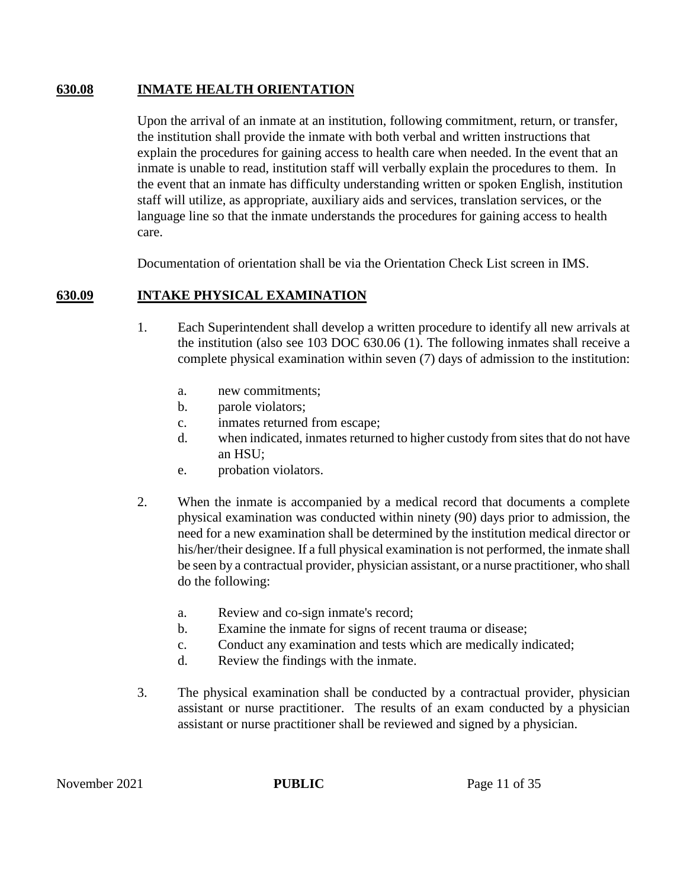### **630.08 INMATE HEALTH ORIENTATION**

Upon the arrival of an inmate at an institution, following commitment, return, or transfer, the institution shall provide the inmate with both verbal and written instructions that explain the procedures for gaining access to health care when needed. In the event that an inmate is unable to read, institution staff will verbally explain the procedures to them. In the event that an inmate has difficulty understanding written or spoken English, institution staff will utilize, as appropriate, auxiliary aids and services, translation services, or the language line so that the inmate understands the procedures for gaining access to health care.

Documentation of orientation shall be via the Orientation Check List screen in IMS.

# **630.09 INTAKE PHYSICAL EXAMINATION**

- 1. Each Superintendent shall develop a written procedure to identify all new arrivals at the institution (also see 103 DOC 630.06 (1). The following inmates shall receive a complete physical examination within seven (7) days of admission to the institution:
	- a. new commitments;
	- b. parole violators;
	- c. inmates returned from escape;
	- d. when indicated, inmates returned to higher custody from sites that do not have an HSU;
	- e. probation violators.
- 2. When the inmate is accompanied by a medical record that documents a complete physical examination was conducted within ninety (90) days prior to admission, the need for a new examination shall be determined by the institution medical director or his/her/their designee. If a full physical examination is not performed, the inmate shall be seen by a contractual provider, physician assistant, or a nurse practitioner, who shall do the following:
	- a. Review and co-sign inmate's record;
	- b. Examine the inmate for signs of recent trauma or disease;
	- c. Conduct any examination and tests which are medically indicated;
	- d. Review the findings with the inmate.
- 3. The physical examination shall be conducted by a contractual provider, physician assistant or nurse practitioner.The results of an exam conducted by a physician assistant or nurse practitioner shall be reviewed and signed by a physician.

November 2021 **PUBLIC** Page 11 of 35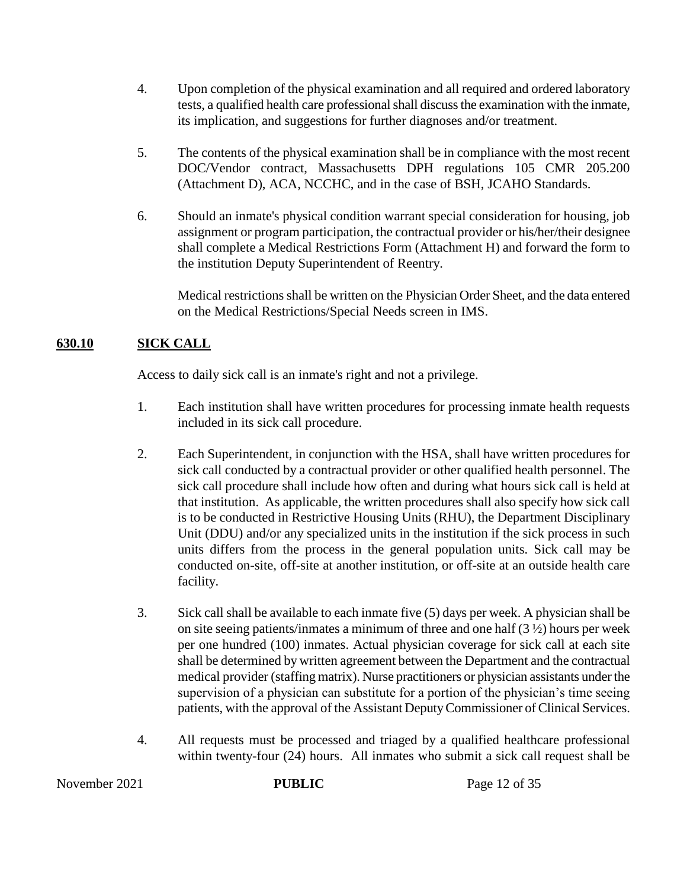- 4. Upon completion of the physical examination and all required and ordered laboratory tests, a qualified health care professional shall discuss the examination with the inmate, its implication, and suggestions for further diagnoses and/or treatment.
- 5. The contents of the physical examination shall be in compliance with the most recent DOC/Vendor contract, Massachusetts DPH regulations 105 CMR 205.200 (Attachment D), ACA, NCCHC, and in the case of BSH, JCAHO Standards.
- 6. Should an inmate's physical condition warrant special consideration for housing, job assignment or program participation, the contractual provider or his/her/their designee shall complete a Medical Restrictions Form (Attachment H) and forward the form to the institution Deputy Superintendent of Reentry.

Medical restrictions shall be written on the Physician Order Sheet, and the data entered on the Medical Restrictions/Special Needs screen in IMS.

# **630.10 SICK CALL**

Access to daily sick call is an inmate's right and not a privilege.

- 1. Each institution shall have written procedures for processing inmate health requests included in its sick call procedure.
- 2. Each Superintendent, in conjunction with the HSA, shall have written procedures for sick call conducted by a contractual provider or other qualified health personnel. The sick call procedure shall include how often and during what hours sick call is held at that institution. As applicable, the written procedures shall also specify how sick call is to be conducted in Restrictive Housing Units (RHU), the Department Disciplinary Unit (DDU) and/or any specialized units in the institution if the sick process in such units differs from the process in the general population units. Sick call may be conducted on-site, off-site at another institution, or off-site at an outside health care facility.
- 3. Sick call shall be available to each inmate five (5) days per week. A physician shall be on site seeing patients/inmates a minimum of three and one half (3 ½) hours per week per one hundred (100) inmates. Actual physician coverage for sick call at each site shall be determined by written agreement between the Department and the contractual medical provider (staffing matrix). Nurse practitioners or physician assistants under the supervision of a physician can substitute for a portion of the physician's time seeing patients, with the approval of the Assistant Deputy Commissioner of Clinical Services.
- 4. All requests must be processed and triaged by a qualified healthcare professional within twenty-four (24) hours. All inmates who submit a sick call request shall be

November 2021 **PUBLIC** Page 12 of 35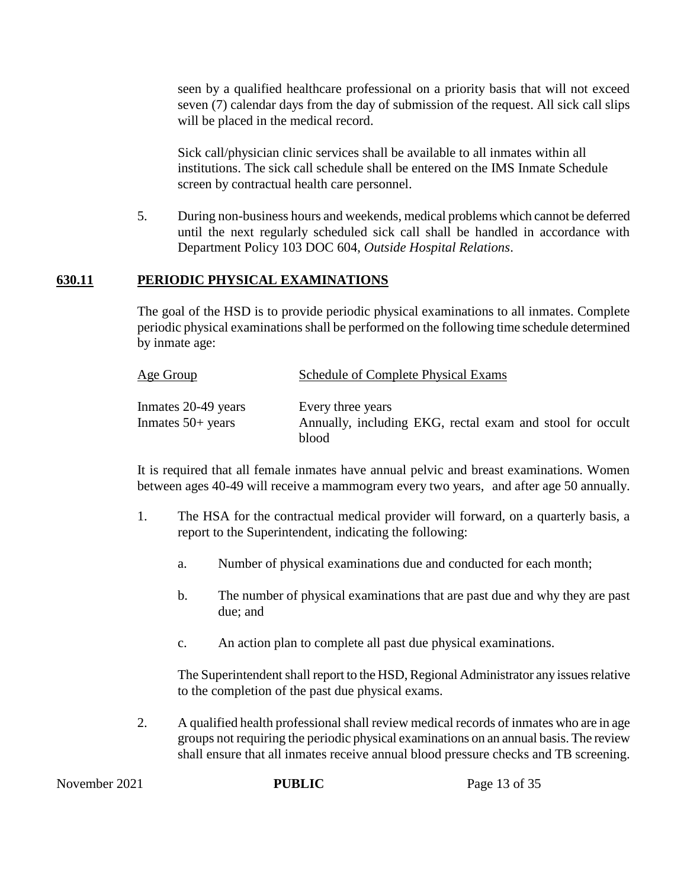seen by a qualified healthcare professional on a priority basis that will not exceed seven (7) calendar days from the day of submission of the request. All sick call slips will be placed in the medical record.

Sick call/physician clinic services shall be available to all inmates within all institutions. The sick call schedule shall be entered on the IMS Inmate Schedule screen by contractual health care personnel.

5. During non-business hours and weekends, medical problems which cannot be deferred until the next regularly scheduled sick call shall be handled in accordance with Department Policy 103 DOC 604, *Outside Hospital Relations*.

# **630.11 PERIODIC PHYSICAL EXAMINATIONS**

The goal of the HSD is to provide periodic physical examinations to all inmates. Complete periodic physical examinations shall be performed on the following time schedule determined by inmate age:

| Age Group                                  | Schedule of Complete Physical Exams                                            |
|--------------------------------------------|--------------------------------------------------------------------------------|
| Inmates 20-49 years<br>Inmates $50+$ years | Every three years<br>Annually, including EKG, rectal exam and stool for occult |
|                                            | blood                                                                          |

It is required that all female inmates have annual pelvic and breast examinations. Women between ages 40-49 will receive a mammogram every two years, and after age 50 annually.

- 1. The HSA for the contractual medical provider will forward, on a quarterly basis, a report to the Superintendent, indicating the following:
	- a. Number of physical examinations due and conducted for each month;
	- b. The number of physical examinations that are past due and why they are past due; and
	- c. An action plan to complete all past due physical examinations.

The Superintendent shall report to the HSD, Regional Administrator any issues relative to the completion of the past due physical exams.

2. A qualified health professional shall review medical records of inmates who are in age groups not requiring the periodic physical examinations on an annual basis. The review shall ensure that all inmates receive annual blood pressure checks and TB screening.

November 2021 **PUBLIC** Page 13 of 35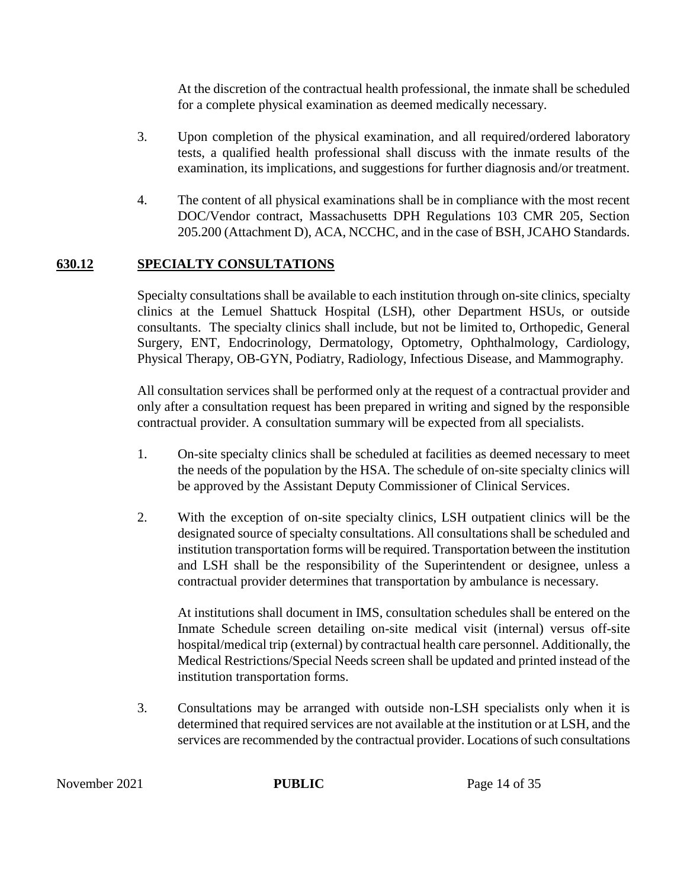At the discretion of the contractual health professional, the inmate shall be scheduled for a complete physical examination as deemed medically necessary.

- 3. Upon completion of the physical examination, and all required/ordered laboratory tests, a qualified health professional shall discuss with the inmate results of the examination, its implications, and suggestions for further diagnosis and/or treatment.
- 4. The content of all physical examinations shall be in compliance with the most recent DOC/Vendor contract, Massachusetts DPH Regulations 103 CMR 205, Section 205.200 (Attachment D), ACA, NCCHC, and in the case of BSH, JCAHO Standards.

# **630.12 SPECIALTY CONSULTATIONS**

Specialty consultations shall be available to each institution through on-site clinics, specialty clinics at the Lemuel Shattuck Hospital (LSH), other Department HSUs, or outside consultants. The specialty clinics shall include, but not be limited to, Orthopedic, General Surgery, ENT, Endocrinology, Dermatology, Optometry, Ophthalmology, Cardiology, Physical Therapy, OB-GYN, Podiatry, Radiology, Infectious Disease, and Mammography.

All consultation services shall be performed only at the request of a contractual provider and only after a consultation request has been prepared in writing and signed by the responsible contractual provider. A consultation summary will be expected from all specialists.

- 1. On-site specialty clinics shall be scheduled at facilities as deemed necessary to meet the needs of the population by the HSA. The schedule of on-site specialty clinics will be approved by the Assistant Deputy Commissioner of Clinical Services.
- 2. With the exception of on-site specialty clinics, LSH outpatient clinics will be the designated source of specialty consultations. All consultations shall be scheduled and institution transportation forms will be required. Transportation between the institution and LSH shall be the responsibility of the Superintendent or designee, unless a contractual provider determines that transportation by ambulance is necessary.

At institutions shall document in IMS, consultation schedules shall be entered on the Inmate Schedule screen detailing on-site medical visit (internal) versus off-site hospital/medical trip (external) by contractual health care personnel. Additionally, the Medical Restrictions/Special Needs screen shall be updated and printed instead of the institution transportation forms.

3. Consultations may be arranged with outside non-LSH specialists only when it is determined that required services are not available at the institution or at LSH, and the services are recommended by the contractual provider. Locations of such consultations

November 2021 **PUBLIC** Page 14 of 35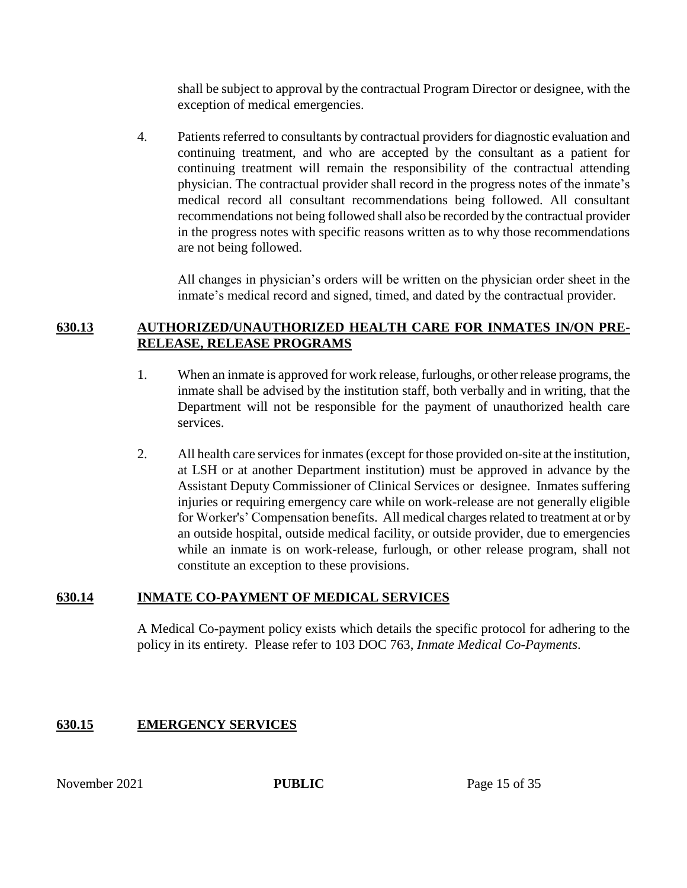shall be subject to approval by the contractual Program Director or designee, with the exception of medical emergencies.

4. Patients referred to consultants by contractual providers for diagnostic evaluation and continuing treatment, and who are accepted by the consultant as a patient for continuing treatment will remain the responsibility of the contractual attending physician. The contractual provider shall record in the progress notes of the inmate's medical record all consultant recommendations being followed. All consultant recommendations not being followed shall also be recorded by the contractual provider in the progress notes with specific reasons written as to why those recommendations are not being followed.

All changes in physician's orders will be written on the physician order sheet in the inmate's medical record and signed, timed, and dated by the contractual provider.

# **630.13 AUTHORIZED/UNAUTHORIZED HEALTH CARE FOR INMATES IN/ON PRE-RELEASE, RELEASE PROGRAMS**

- 1. When an inmate is approved for work release, furloughs, or other release programs, the inmate shall be advised by the institution staff, both verbally and in writing, that the Department will not be responsible for the payment of unauthorized health care services.
- 2. All health care services for inmates (except for those provided on-site at the institution, at LSH or at another Department institution) must be approved in advance by the Assistant Deputy Commissioner of Clinical Services or designee. Inmates suffering injuries or requiring emergency care while on work-release are not generally eligible for Worker's' Compensation benefits. All medical charges related to treatment at or by an outside hospital, outside medical facility, or outside provider, due to emergencies while an inmate is on work-release, furlough, or other release program, shall not constitute an exception to these provisions.

# **630.14 INMATE CO-PAYMENT OF MEDICAL SERVICES**

A Medical Co-payment policy exists which details the specific protocol for adhering to the policy in its entirety. Please refer to 103 DOC 763, *Inmate Medical Co-Payments*.

# **630.15 EMERGENCY SERVICES**

November 2021 **PUBLIC** Page 15 of 35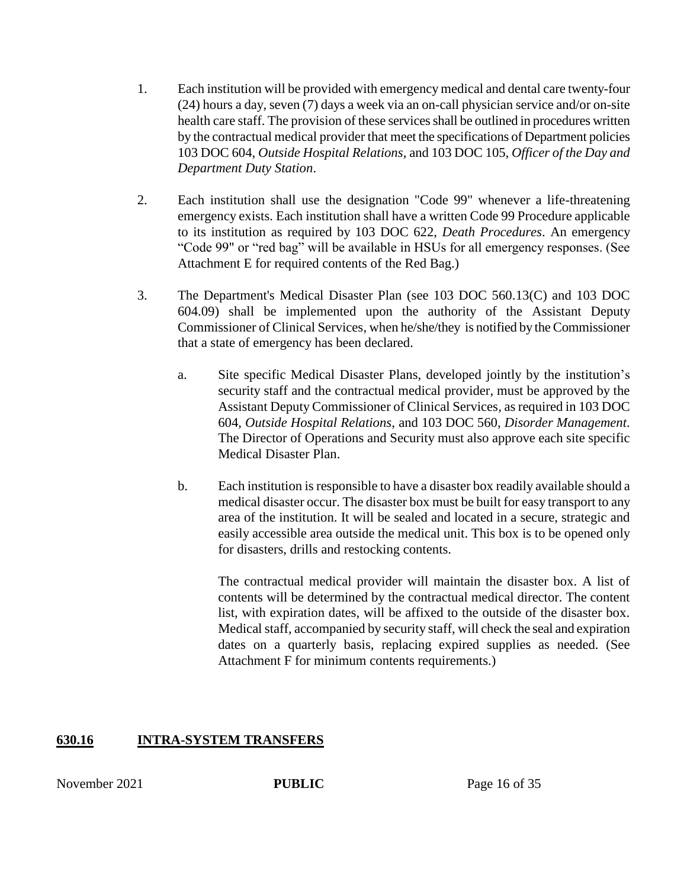- 1. Each institution will be provided with emergency medical and dental care twenty-four (24) hours a day, seven (7) days a week via an on-call physician service and/or on-site health care staff. The provision of these services shall be outlined in procedures written by the contractual medical provider that meet the specifications of Department policies 103 DOC 604, *Outside Hospital Relations*, and 103 DOC 105, *Officer of the Day and Department Duty Station*.
- 2. Each institution shall use the designation "Code 99" whenever a life-threatening emergency exists. Each institution shall have a written Code 99 Procedure applicable to its institution as required by 103 DOC 622, *Death Procedures*. An emergency "Code 99" or "red bag" will be available in HSUs for all emergency responses. (See Attachment E for required contents of the Red Bag.)
- 3. The Department's Medical Disaster Plan (see 103 DOC 560.13(C) and 103 DOC 604.09) shall be implemented upon the authority of the Assistant Deputy Commissioner of Clinical Services, when he/she/they is notified by the Commissioner that a state of emergency has been declared.
	- a. Site specific Medical Disaster Plans, developed jointly by the institution's security staff and the contractual medical provider, must be approved by the Assistant Deputy Commissioner of Clinical Services*,* as required in 103 DOC 604, *Outside Hospital Relations*, and 103 DOC 560, *Disorder Management*. The Director of Operations and Security must also approve each site specific Medical Disaster Plan.
	- b. Each institution is responsible to have a disaster box readily available should a medical disaster occur. The disaster box must be built for easy transport to any area of the institution. It will be sealed and located in a secure, strategic and easily accessible area outside the medical unit. This box is to be opened only for disasters, drills and restocking contents.

The contractual medical provider will maintain the disaster box. A list of contents will be determined by the contractual medical director. The content list, with expiration dates, will be affixed to the outside of the disaster box. Medical staff, accompanied by security staff, will check the seal and expiration dates on a quarterly basis, replacing expired supplies as needed. (See Attachment F for minimum contents requirements.)

# **630.16 INTRA-SYSTEM TRANSFERS**

November 2021 **PUBLIC** Page 16 of 35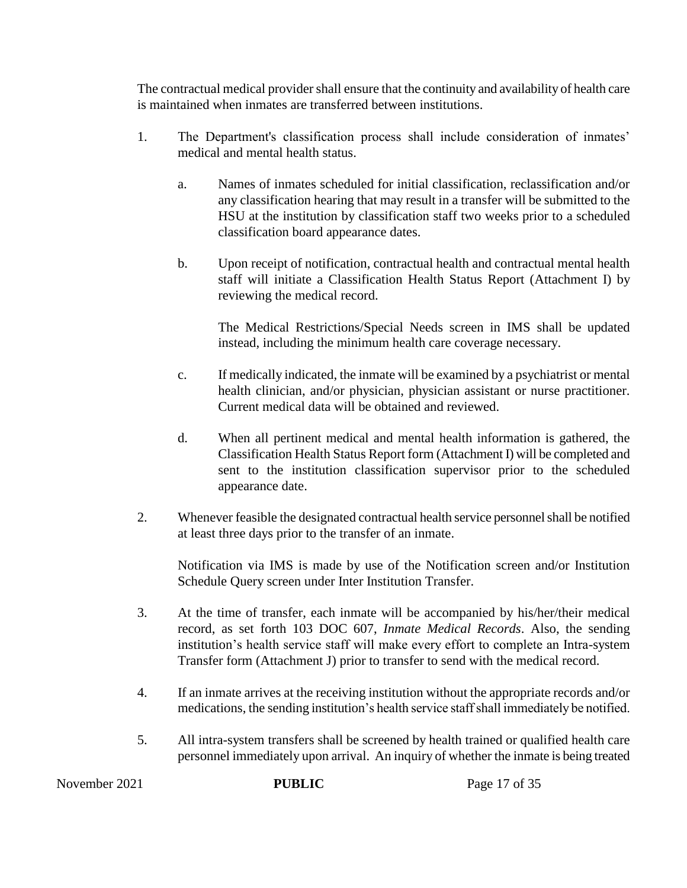The contractual medical provider shall ensure that the continuity and availability of health care is maintained when inmates are transferred between institutions.

- 1. The Department's classification process shall include consideration of inmates' medical and mental health status.
	- a. Names of inmates scheduled for initial classification, reclassification and/or any classification hearing that may result in a transfer will be submitted to the HSU at the institution by classification staff two weeks prior to a scheduled classification board appearance dates.
	- b. Upon receipt of notification, contractual health and contractual mental health staff will initiate a Classification Health Status Report (Attachment I) by reviewing the medical record.

The Medical Restrictions/Special Needs screen in IMS shall be updated instead, including the minimum health care coverage necessary.

- c. If medically indicated, the inmate will be examined by a psychiatrist or mental health clinician, and/or physician, physician assistant or nurse practitioner. Current medical data will be obtained and reviewed.
- d. When all pertinent medical and mental health information is gathered, the Classification Health Status Report form (Attachment I) will be completed and sent to the institution classification supervisor prior to the scheduled appearance date.
- 2. Whenever feasible the designated contractual health service personnel shall be notified at least three days prior to the transfer of an inmate.

Notification via IMS is made by use of the Notification screen and/or Institution Schedule Query screen under Inter Institution Transfer.

- 3. At the time of transfer, each inmate will be accompanied by his/her/their medical record, as set forth 103 DOC 607, *Inmate Medical Records*. Also, the sending institution's health service staff will make every effort to complete an Intra-system Transfer form (Attachment J) prior to transfer to send with the medical record.
- 4. If an inmate arrives at the receiving institution without the appropriate records and/or medications, the sending institution's health service staff shall immediately be notified.
- 5. All intra-system transfers shall be screened by health trained or qualified health care personnel immediately upon arrival. An inquiry of whether the inmate is being treated

November 2021 **PUBLIC** Page 17 of 35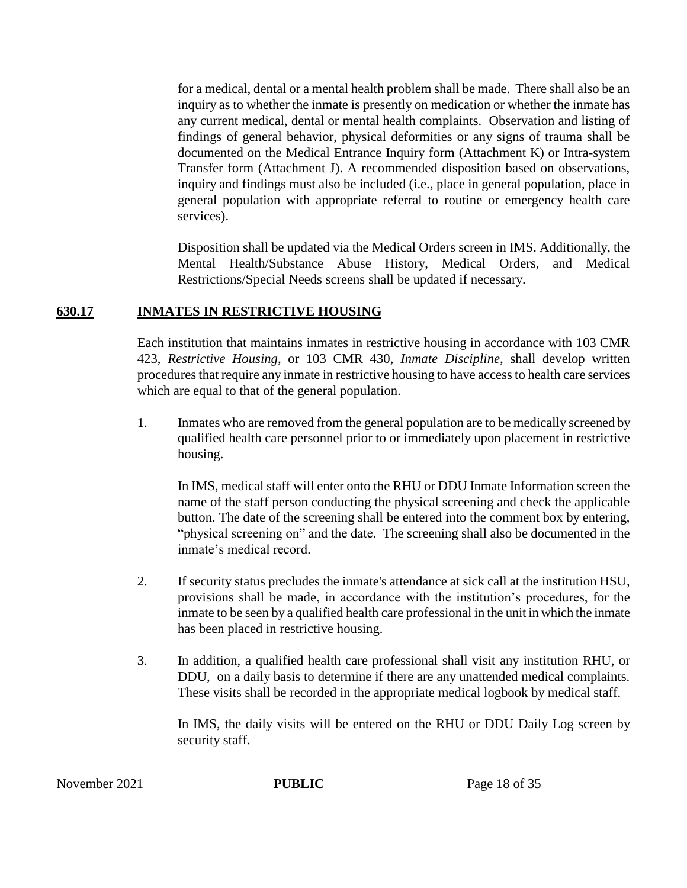for a medical, dental or a mental health problem shall be made. There shall also be an inquiry as to whether the inmate is presently on medication or whether the inmate has any current medical, dental or mental health complaints. Observation and listing of findings of general behavior, physical deformities or any signs of trauma shall be documented on the Medical Entrance Inquiry form (Attachment K) or Intra-system Transfer form (Attachment J). A recommended disposition based on observations, inquiry and findings must also be included (i.e., place in general population, place in general population with appropriate referral to routine or emergency health care services).

Disposition shall be updated via the Medical Orders screen in IMS. Additionally, the Mental Health/Substance Abuse History, Medical Orders, and Medical Restrictions/Special Needs screens shall be updated if necessary.

### **630.17 INMATES IN RESTRICTIVE HOUSING**

Each institution that maintains inmates in restrictive housing in accordance with 103 CMR 423, *Restrictive Housing*, or 103 CMR 430, *Inmate Discipline*, shall develop written procedures that require any inmate in restrictive housing to have access to health care services which are equal to that of the general population.

1. Inmates who are removed from the general population are to be medically screened by qualified health care personnel prior to or immediately upon placement in restrictive housing.

In IMS, medical staff will enter onto the RHU or DDU Inmate Information screen the name of the staff person conducting the physical screening and check the applicable button. The date of the screening shall be entered into the comment box by entering, "physical screening on" and the date. The screening shall also be documented in the inmate's medical record.

- 2. If security status precludes the inmate's attendance at sick call at the institution HSU, provisions shall be made, in accordance with the institution's procedures, for the inmate to be seen by a qualified health care professional in the unit in which the inmate has been placed in restrictive housing.
- 3. In addition, a qualified health care professional shall visit any institution RHU, or DDU, on a daily basis to determine if there are any unattended medical complaints. These visits shall be recorded in the appropriate medical logbook by medical staff.

In IMS, the daily visits will be entered on the RHU or DDU Daily Log screen by security staff.

November 2021 **PUBLIC** Page 18 of 35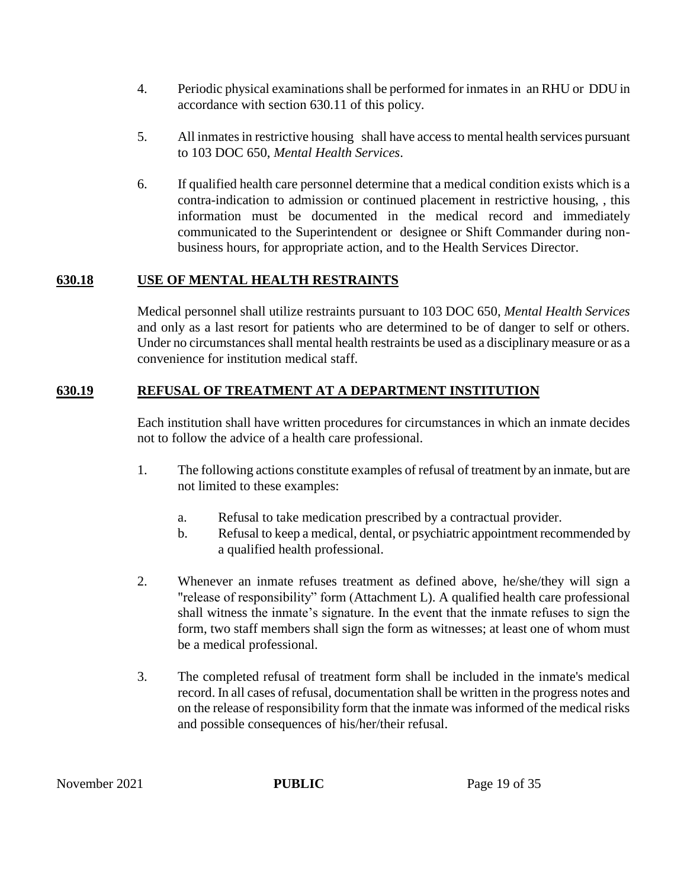- 4. Periodic physical examinations shall be performed for inmates in an RHU or DDU in accordance with section 630.11 of this policy.
- 5. All inmates in restrictive housing shall have accessto mental health services pursuant to 103 DOC 650, *Mental Health Services*.
- 6. If qualified health care personnel determine that a medical condition exists which is a contra-indication to admission or continued placement in restrictive housing, , this information must be documented in the medical record and immediately communicated to the Superintendent or designee or Shift Commander during nonbusiness hours, for appropriate action, and to the Health Services Director.

# **630.18 USE OF MENTAL HEALTH RESTRAINTS**

Medical personnel shall utilize restraints pursuant to 103 DOC 650, *Mental Health Services* and only as a last resort for patients who are determined to be of danger to self or others. Under no circumstances shall mental health restraints be used as a disciplinary measure or as a convenience for institution medical staff.

# **630.19 REFUSAL OF TREATMENT AT A DEPARTMENT INSTITUTION**

Each institution shall have written procedures for circumstances in which an inmate decides not to follow the advice of a health care professional.

- 1. The following actions constitute examples of refusal of treatment by an inmate, but are not limited to these examples:
	- a. Refusal to take medication prescribed by a contractual provider.
	- b. Refusal to keep a medical, dental, or psychiatric appointment recommended by a qualified health professional.
- 2. Whenever an inmate refuses treatment as defined above, he/she/they will sign a "release of responsibility" form (Attachment L). A qualified health care professional shall witness the inmate's signature. In the event that the inmate refuses to sign the form, two staff members shall sign the form as witnesses; at least one of whom must be a medical professional.
- 3. The completed refusal of treatment form shall be included in the inmate's medical record. In all cases of refusal, documentation shall be written in the progress notes and on the release of responsibility form that the inmate was informed of the medical risks and possible consequences of his/her/their refusal.

November 2021 **PUBLIC** Page 19 of 35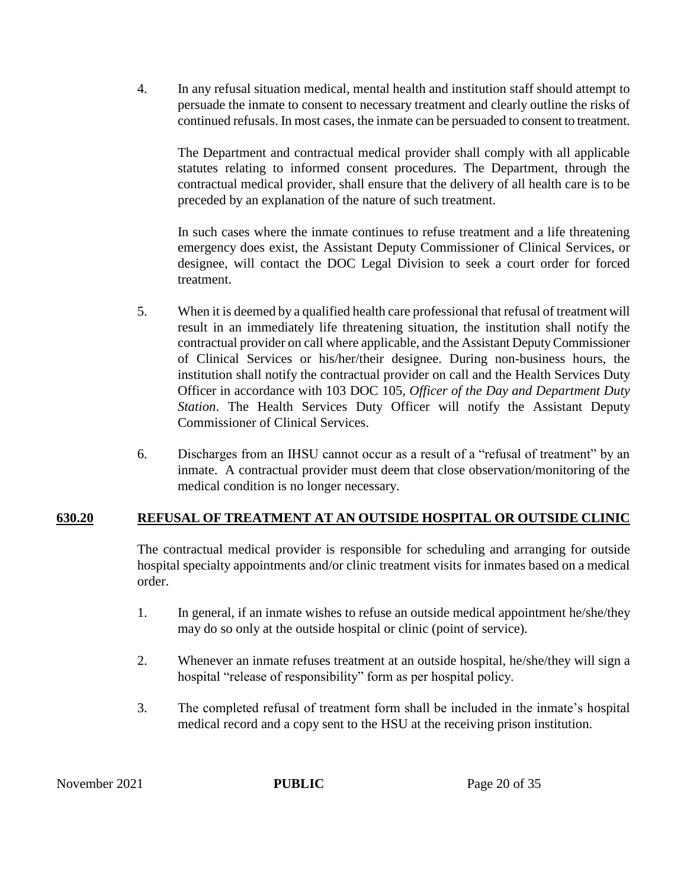4. In any refusal situation medical, mental health and institution staff should attempt to persuade the inmate to consent to necessary treatment and clearly outline the risks of continued refusals. In most cases, the inmate can be persuaded to consent to treatment.

The Department and contractual medical provider shall comply with all applicable statutes relating to informed consent procedures. The Department, through the contractual medical provider, shall ensure that the delivery of all health care is to be preceded by an explanation of the nature of such treatment.

In such cases where the inmate continues to refuse treatment and a life threatening emergency does exist, the Assistant Deputy Commissioner of Clinical Services, or designee, will contact the DOC Legal Division to seek a court order for forced treatment.

- 5. When it is deemed by a qualified health care professional that refusal of treatment will result in an immediately life threatening situation, the institution shall notify the contractual provider on call where applicable, and the Assistant Deputy Commissioner of Clinical Services or his/her/their designee. During non-business hours, the institution shall notify the contractual provider on call and the Health Services Duty Officer in accordance with 103 DOC 105, *Officer of the Day and Department Duty Station*. The Health Services Duty Officer will notify the Assistant Deputy Commissioner of Clinical Services.
- 6. Discharges from an IHSU cannot occur as a result of a "refusal of treatment" by an inmate. A contractual provider must deem that close observation/monitoring of the medical condition is no longer necessary.

# **630.20 REFUSAL OF TREATMENT AT AN OUTSIDE HOSPITAL OR OUTSIDE CLINIC**

The contractual medical provider is responsible for scheduling and arranging for outside hospital specialty appointments and/or clinic treatment visits for inmates based on a medical order.

- 1. In general, if an inmate wishes to refuse an outside medical appointment he/she/they may do so only at the outside hospital or clinic (point of service).
- 2. Whenever an inmate refuses treatment at an outside hospital, he/she/they will sign a hospital "release of responsibility" form as per hospital policy.
- 3. The completed refusal of treatment form shall be included in the inmate's hospital medical record and a copy sent to the HSU at the receiving prison institution.

November 2021 **PUBLIC** Page 20 of 35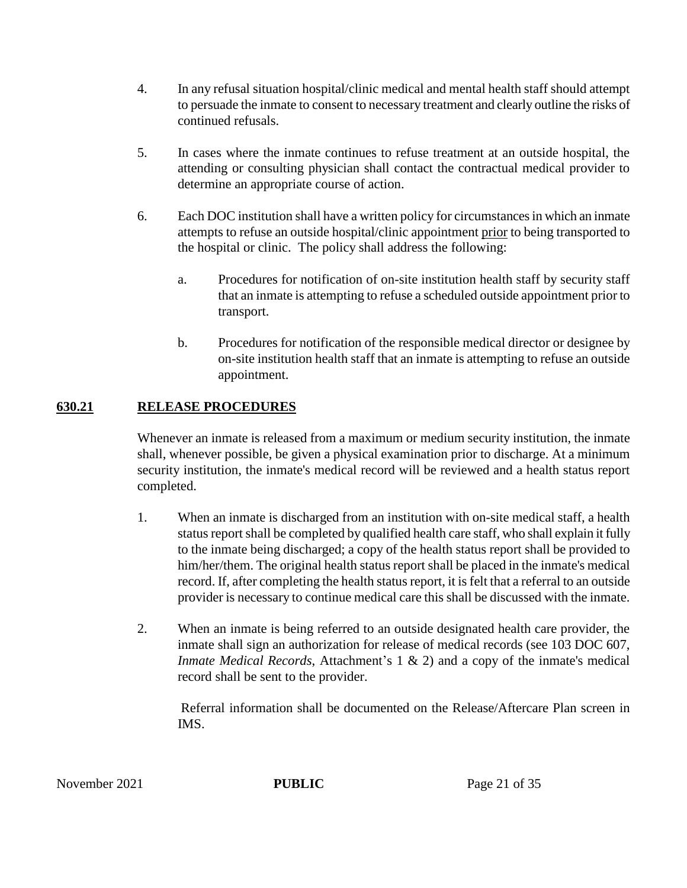- 4. In any refusal situation hospital/clinic medical and mental health staff should attempt to persuade the inmate to consent to necessary treatment and clearly outline the risks of continued refusals.
- 5. In cases where the inmate continues to refuse treatment at an outside hospital, the attending or consulting physician shall contact the contractual medical provider to determine an appropriate course of action.
- 6. Each DOC institution shall have a written policy for circumstances in which an inmate attempts to refuse an outside hospital/clinic appointment prior to being transported to the hospital or clinic. The policy shall address the following:
	- a. Procedures for notification of on-site institution health staff by security staff that an inmate is attempting to refuse a scheduled outside appointment prior to transport.
	- b. Procedures for notification of the responsible medical director or designee by on-site institution health staff that an inmate is attempting to refuse an outside appointment.

# **630.21 RELEASE PROCEDURES**

Whenever an inmate is released from a maximum or medium security institution, the inmate shall, whenever possible, be given a physical examination prior to discharge. At a minimum security institution, the inmate's medical record will be reviewed and a health status report completed.

- 1. When an inmate is discharged from an institution with on-site medical staff, a health status report shall be completed by qualified health care staff, who shall explain it fully to the inmate being discharged; a copy of the health status report shall be provided to him/her/them. The original health status report shall be placed in the inmate's medical record. If, after completing the health status report, it is felt that a referral to an outside provider is necessary to continue medical care this shall be discussed with the inmate.
- 2. When an inmate is being referred to an outside designated health care provider, the inmate shall sign an authorization for release of medical records (see 103 DOC 607, *Inmate Medical Records*, Attachment's 1 & 2) and a copy of the inmate's medical record shall be sent to the provider.

Referral information shall be documented on the Release/Aftercare Plan screen in IMS.

November 2021 **PUBLIC** Page 21 of 35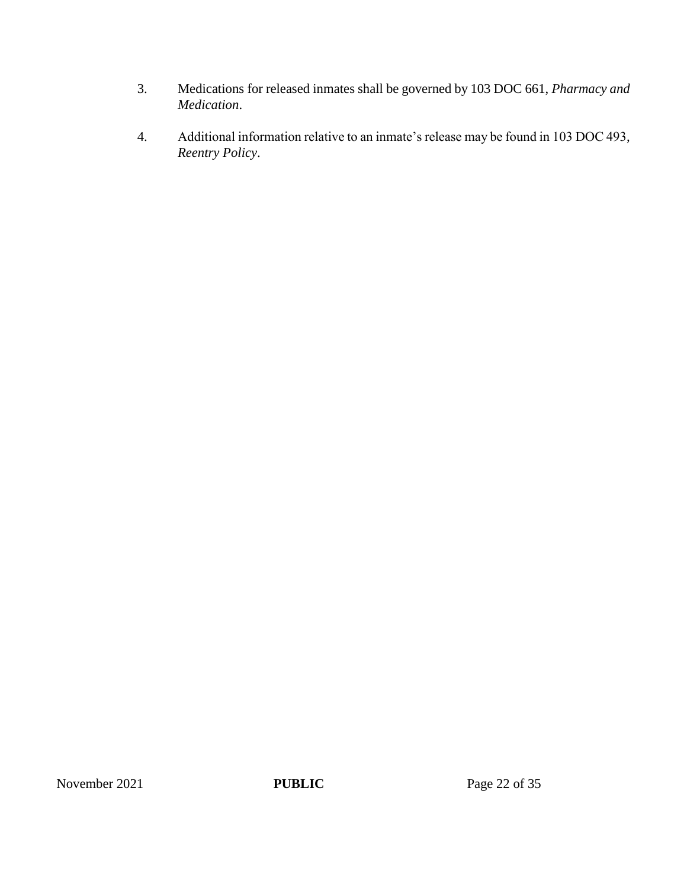- 3. Medications for released inmates shall be governed by 103 DOC 661, *Pharmacy and Medication*.
- 4. Additional information relative to an inmate's release may be found in 103 DOC 493, *Reentry Policy*.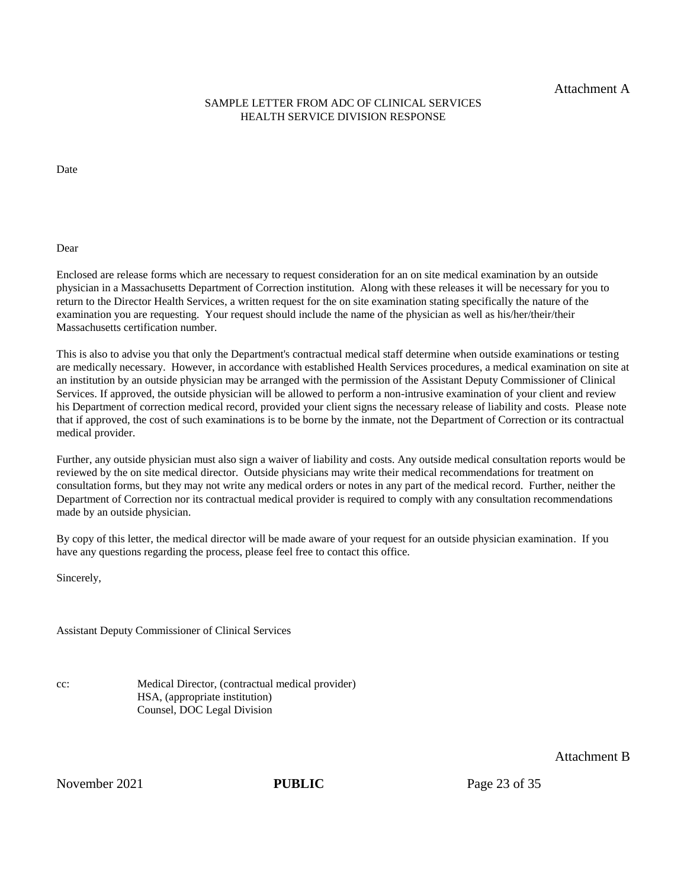Attachment A

#### SAMPLE LETTER FROM ADC OF CLINICAL SERVICES HEALTH SERVICE DIVISION RESPONSE

Date

Dear

Enclosed are release forms which are necessary to request consideration for an on site medical examination by an outside physician in a Massachusetts Department of Correction institution. Along with these releases it will be necessary for you to return to the Director Health Services, a written request for the on site examination stating specifically the nature of the examination you are requesting. Your request should include the name of the physician as well as his/her/their/their Massachusetts certification number.

This is also to advise you that only the Department's contractual medical staff determine when outside examinations or testing are medically necessary. However, in accordance with established Health Services procedures, a medical examination on site at an institution by an outside physician may be arranged with the permission of the Assistant Deputy Commissioner of Clinical Services. If approved, the outside physician will be allowed to perform a non-intrusive examination of your client and review his Department of correction medical record, provided your client signs the necessary release of liability and costs. Please note that if approved, the cost of such examinations is to be borne by the inmate, not the Department of Correction or its contractual medical provider.

Further, any outside physician must also sign a waiver of liability and costs. Any outside medical consultation reports would be reviewed by the on site medical director. Outside physicians may write their medical recommendations for treatment on consultation forms, but they may not write any medical orders or notes in any part of the medical record. Further, neither the Department of Correction nor its contractual medical provider is required to comply with any consultation recommendations made by an outside physician.

By copy of this letter, the medical director will be made aware of your request for an outside physician examination. If you have any questions regarding the process, please feel free to contact this office.

Sincerely,

Assistant Deputy Commissioner of Clinical Services

cc: Medical Director, (contractual medical provider) HSA, (appropriate institution) Counsel, DOC Legal Division

November 2021 **PUBLIC** Page 23 of 35

Attachment B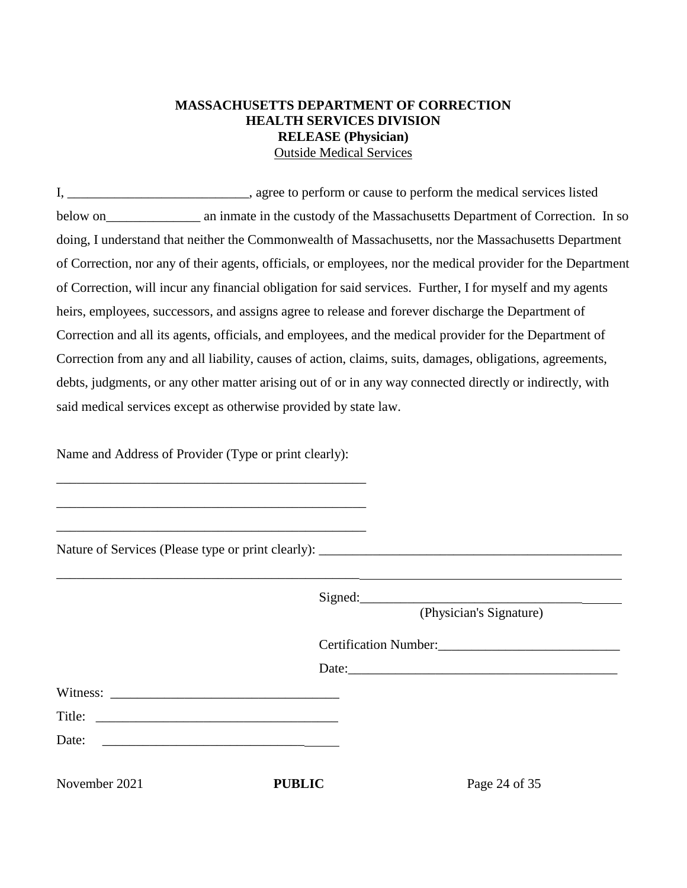# **MASSACHUSETTS DEPARTMENT OF CORRECTION HEALTH SERVICES DIVISION RELEASE (Physician)** Outside Medical Services

I, \_\_\_\_\_\_\_\_\_\_\_\_\_\_\_\_\_\_\_\_\_\_\_\_\_\_\_, agree to perform or cause to perform the medical services listed below on an inmate in the custody of the Massachusetts Department of Correction. In so doing, I understand that neither the Commonwealth of Massachusetts, nor the Massachusetts Department of Correction, nor any of their agents, officials, or employees, nor the medical provider for the Department of Correction, will incur any financial obligation for said services. Further, I for myself and my agents heirs, employees, successors, and assigns agree to release and forever discharge the Department of Correction and all its agents, officials, and employees, and the medical provider for the Department of Correction from any and all liability, causes of action, claims, suits, damages, obligations, agreements, debts, judgments, or any other matter arising out of or in any way connected directly or indirectly, with said medical services except as otherwise provided by state law.

Name and Address of Provider (Type or print clearly):

\_\_\_\_\_\_\_\_\_\_\_\_\_\_\_\_\_\_\_\_\_\_\_\_\_\_\_\_\_\_\_\_\_\_\_\_\_\_\_\_\_\_\_\_\_\_

\_\_\_\_\_\_\_\_\_\_\_\_\_\_\_\_\_\_\_\_\_\_\_\_\_\_\_\_\_\_\_\_\_\_\_\_\_\_\_\_\_\_\_\_\_\_

\_\_\_\_\_\_\_\_\_\_\_\_\_\_\_\_\_\_\_\_\_\_\_\_\_\_\_\_\_\_\_\_\_\_\_\_\_\_\_\_\_\_\_\_\_\_

\_\_\_\_\_\_\_\_\_\_\_\_\_\_\_\_\_\_\_\_\_\_\_\_\_\_\_\_\_\_\_\_\_\_\_\_\_\_\_\_\_\_\_\_\_

Nature of Services (Please type or print clearly): \_\_\_\_\_\_\_\_\_\_\_\_\_\_\_\_\_\_\_\_\_\_\_\_\_\_\_\_\_\_

|               |                                                                                                                       | Signed:<br>(Physician's Signature) |  |
|---------------|-----------------------------------------------------------------------------------------------------------------------|------------------------------------|--|
|               |                                                                                                                       |                                    |  |
|               |                                                                                                                       | Date:                              |  |
|               |                                                                                                                       |                                    |  |
|               |                                                                                                                       |                                    |  |
| Date:         | <u> 1980 - Andrea Barbara, martin da basar a shekara tsara a shekara tsa a shekara tsara a shekara tsara a shekar</u> |                                    |  |
| November 2021 | <b>PUBLIC</b>                                                                                                         | Page 24 of 35                      |  |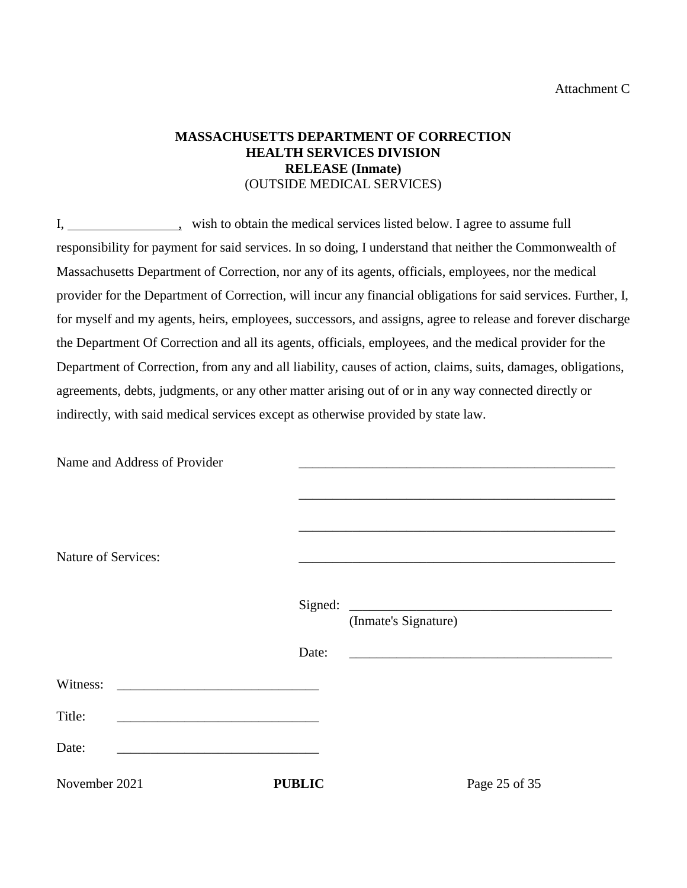### Attachment C

# **MASSACHUSETTS DEPARTMENT OF CORRECTION HEALTH SERVICES DIVISION RELEASE (Inmate)** (OUTSIDE MEDICAL SERVICES)

I, wish to obtain the medical services listed below. I agree to assume full responsibility for payment for said services. In so doing, I understand that neither the Commonwealth of Massachusetts Department of Correction, nor any of its agents, officials, employees, nor the medical provider for the Department of Correction, will incur any financial obligations for said services. Further, I, for myself and my agents, heirs, employees, successors, and assigns, agree to release and forever discharge the Department Of Correction and all its agents, officials, employees, and the medical provider for the Department of Correction, from any and all liability, causes of action, claims, suits, damages, obligations, agreements, debts, judgments, or any other matter arising out of or in any way connected directly or indirectly, with said medical services except as otherwise provided by state law.

| Name and Address of Provider                                                                                                      |               |                                                                                                                       |
|-----------------------------------------------------------------------------------------------------------------------------------|---------------|-----------------------------------------------------------------------------------------------------------------------|
| <b>Nature of Services:</b>                                                                                                        |               | <u> 1989 - Johann John Stone, markin film yn y sefydlu yn y gynnwys y gynnwys y gynnwys y gynnwys y gynnwys y gyn</u> |
|                                                                                                                                   |               | (Inmate's Signature)                                                                                                  |
|                                                                                                                                   | Date:         |                                                                                                                       |
| Witness:<br><u> 1980 - Johann Barn, mars and de Branch Barn, mars and de Branch Barn, mars and de Branch Barn, mars and de Br</u> |               |                                                                                                                       |
| Title:                                                                                                                            |               |                                                                                                                       |
| Date:                                                                                                                             |               |                                                                                                                       |
| November 2021                                                                                                                     | <b>PUBLIC</b> | Page 25 of 35                                                                                                         |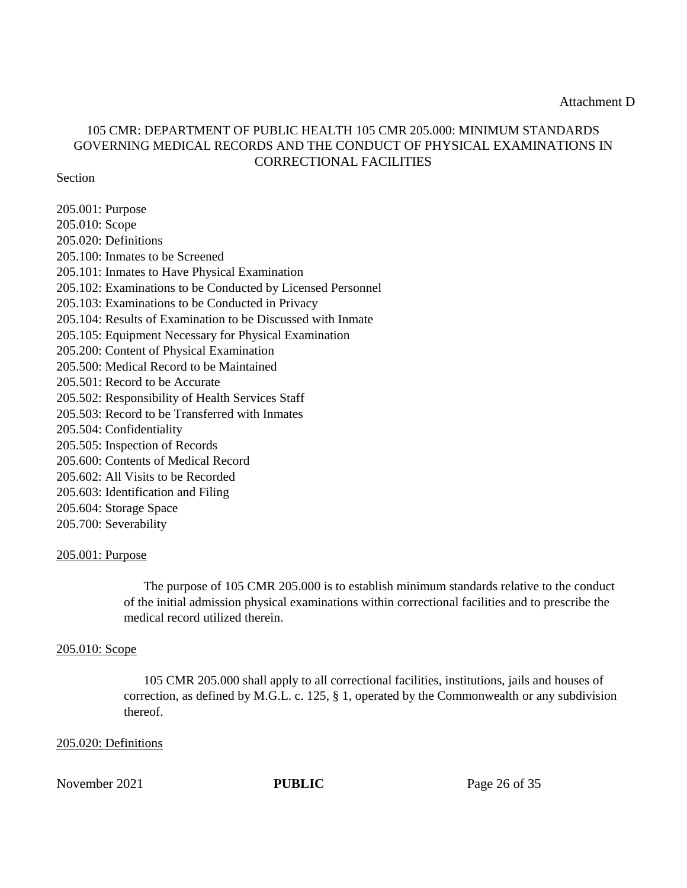# 105 CMR: DEPARTMENT OF PUBLIC HEALTH 105 CMR 205.000: MINIMUM STANDARDS GOVERNING MEDICAL RECORDS AND THE CONDUCT OF PHYSICAL EXAMINATIONS IN CORRECTIONAL FACILITIES

#### Section

205.001: Purpose 205.010: Scope 205.020: Definitions 205.100: Inmates to be Screened 205.101: Inmates to Have Physical Examination 205.102: Examinations to be Conducted by Licensed Personnel 205.103: Examinations to be Conducted in Privacy 205.104: Results of Examination to be Discussed with Inmate 205.105: Equipment Necessary for Physical Examination 205.200: Content of Physical Examination 205.500: Medical Record to be Maintained 205.501: Record to be Accurate 205.502: Responsibility of Health Services Staff 205.503: Record to be Transferred with Inmates 205.504: Confidentiality 205.505: Inspection of Records 205.600: Contents of Medical Record 205.602: All Visits to be Recorded 205.603: Identification and Filing 205.604: Storage Space 205.700: Severability

#### 205.001: Purpose

The purpose of 105 CMR 205.000 is to establish minimum standards relative to the conduct of the initial admission physical examinations within correctional facilities and to prescribe the medical record utilized therein.

#### 205.010: Scope

105 CMR 205.000 shall apply to all correctional facilities, institutions, jails and houses of correction, as defined by M.G.L. c. 125, § 1, operated by the Commonwealth or any subdivision thereof.

#### 205.020: Definitions

November 2021 **PUBLIC** Page 26 of 35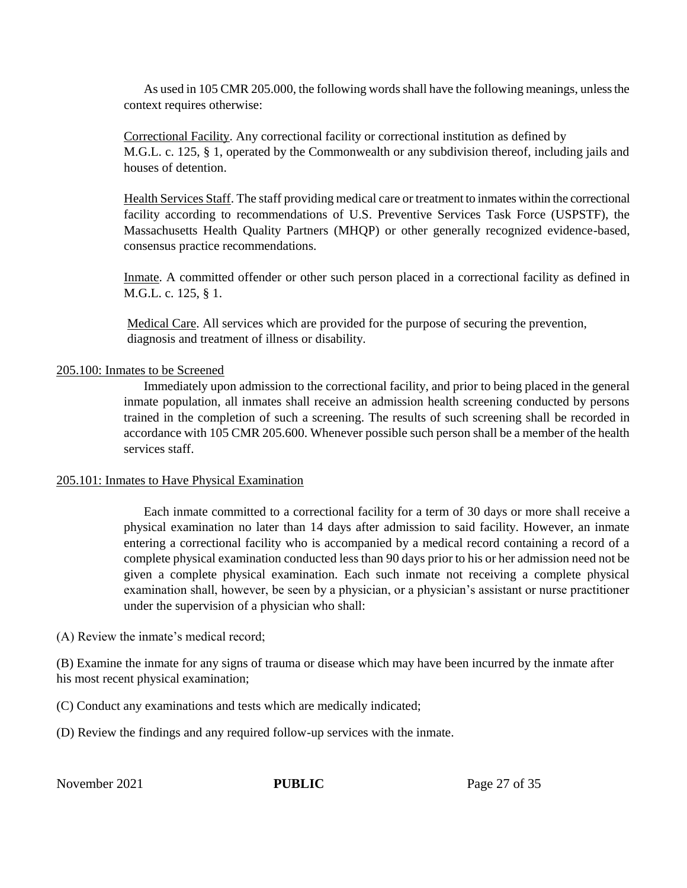As used in 105 CMR 205.000, the following words shall have the following meanings, unless the context requires otherwise:

Correctional Facility. Any correctional facility or correctional institution as defined by M.G.L. c. 125, § 1, operated by the Commonwealth or any subdivision thereof, including jails and houses of detention.

Health Services Staff. The staff providing medical care or treatment to inmates within the correctional facility according to recommendations of U.S. Preventive Services Task Force (USPSTF), the Massachusetts Health Quality Partners (MHQP) or other generally recognized evidence-based, consensus practice recommendations.

Inmate. A committed offender or other such person placed in a correctional facility as defined in M.G.L. c. 125, § 1.

Medical Care. All services which are provided for the purpose of securing the prevention, diagnosis and treatment of illness or disability.

#### 205.100: Inmates to be Screened

Immediately upon admission to the correctional facility, and prior to being placed in the general inmate population, all inmates shall receive an admission health screening conducted by persons trained in the completion of such a screening. The results of such screening shall be recorded in accordance with 105 CMR 205.600. Whenever possible such person shall be a member of the health services staff.

#### 205.101: Inmates to Have Physical Examination

Each inmate committed to a correctional facility for a term of 30 days or more shall receive a physical examination no later than 14 days after admission to said facility. However, an inmate entering a correctional facility who is accompanied by a medical record containing a record of a complete physical examination conducted less than 90 days prior to his or her admission need not be given a complete physical examination. Each such inmate not receiving a complete physical examination shall, however, be seen by a physician, or a physician's assistant or nurse practitioner under the supervision of a physician who shall:

(A) Review the inmate's medical record;

(B) Examine the inmate for any signs of trauma or disease which may have been incurred by the inmate after his most recent physical examination;

(C) Conduct any examinations and tests which are medically indicated;

(D) Review the findings and any required follow-up services with the inmate.

November 2021 **PUBLIC** Page 27 of 35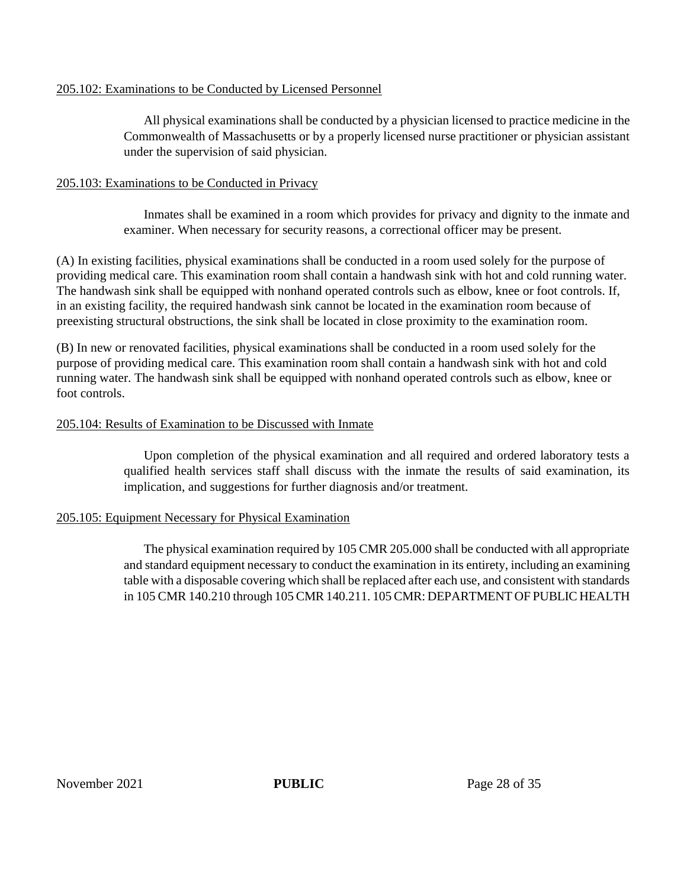### 205.102: Examinations to be Conducted by Licensed Personnel

All physical examinations shall be conducted by a physician licensed to practice medicine in the Commonwealth of Massachusetts or by a properly licensed nurse practitioner or physician assistant under the supervision of said physician.

### 205.103: Examinations to be Conducted in Privacy

Inmates shall be examined in a room which provides for privacy and dignity to the inmate and examiner. When necessary for security reasons, a correctional officer may be present.

(A) In existing facilities, physical examinations shall be conducted in a room used solely for the purpose of providing medical care. This examination room shall contain a handwash sink with hot and cold running water. The handwash sink shall be equipped with nonhand operated controls such as elbow, knee or foot controls. If, in an existing facility, the required handwash sink cannot be located in the examination room because of preexisting structural obstructions, the sink shall be located in close proximity to the examination room.

(B) In new or renovated facilities, physical examinations shall be conducted in a room used solely for the purpose of providing medical care. This examination room shall contain a handwash sink with hot and cold running water. The handwash sink shall be equipped with nonhand operated controls such as elbow, knee or foot controls.

### 205.104: Results of Examination to be Discussed with Inmate

Upon completion of the physical examination and all required and ordered laboratory tests a qualified health services staff shall discuss with the inmate the results of said examination, its implication, and suggestions for further diagnosis and/or treatment.

### 205.105: Equipment Necessary for Physical Examination

The physical examination required by 105 CMR 205.000 shall be conducted with all appropriate and standard equipment necessary to conduct the examination in its entirety, including an examining table with a disposable covering which shall be replaced after each use, and consistent with standards in 105 CMR 140.210 through 105 CMR 140.211. 105 CMR: DEPARTMENT OF PUBLIC HEALTH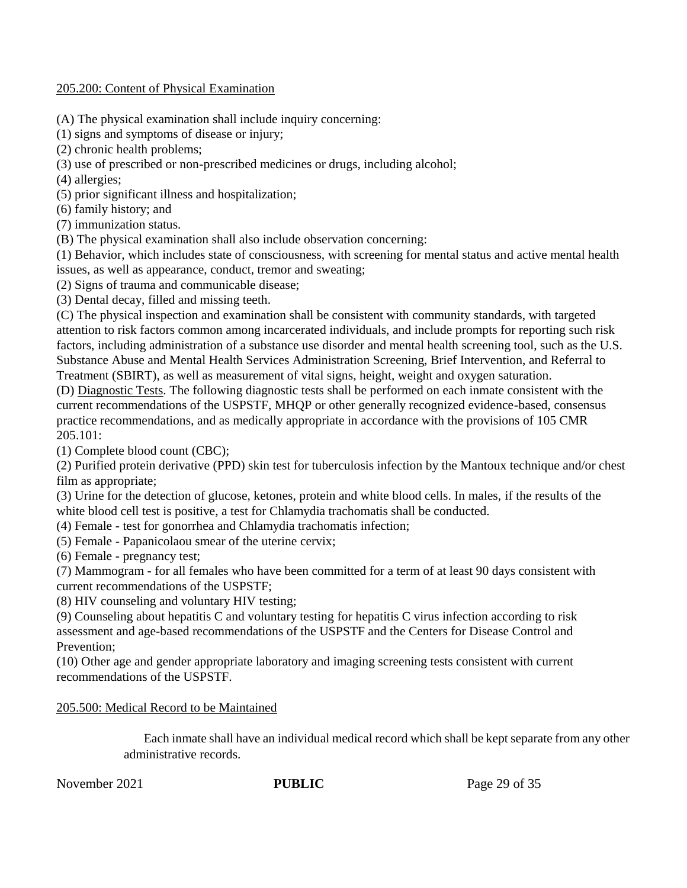#### 205.200: Content of Physical Examination

(A) The physical examination shall include inquiry concerning:

(1) signs and symptoms of disease or injury;

(2) chronic health problems;

(3) use of prescribed or non-prescribed medicines or drugs, including alcohol;

(4) allergies;

(5) prior significant illness and hospitalization;

(6) family history; and

(7) immunization status.

(B) The physical examination shall also include observation concerning:

(1) Behavior, which includes state of consciousness, with screening for mental status and active mental health issues, as well as appearance, conduct, tremor and sweating;

(2) Signs of trauma and communicable disease;

(3) Dental decay, filled and missing teeth.

(C) The physical inspection and examination shall be consistent with community standards, with targeted attention to risk factors common among incarcerated individuals, and include prompts for reporting such risk factors, including administration of a substance use disorder and mental health screening tool, such as the U.S. Substance Abuse and Mental Health Services Administration Screening, Brief Intervention, and Referral to Treatment (SBIRT), as well as measurement of vital signs, height, weight and oxygen saturation.

(D) Diagnostic Tests. The following diagnostic tests shall be performed on each inmate consistent with the current recommendations of the USPSTF, MHQP or other generally recognized evidence-based, consensus practice recommendations, and as medically appropriate in accordance with the provisions of 105 CMR 205.101:

(1) Complete blood count (CBC);

(2) Purified protein derivative (PPD) skin test for tuberculosis infection by the Mantoux technique and/or chest film as appropriate;

(3) Urine for the detection of glucose, ketones, protein and white blood cells. In males, if the results of the white blood cell test is positive, a test for Chlamydia trachomatis shall be conducted.

(4) Female - test for gonorrhea and Chlamydia trachomatis infection;

(5) Female - Papanicolaou smear of the uterine cervix;

(6) Female - pregnancy test;

(7) Mammogram - for all females who have been committed for a term of at least 90 days consistent with current recommendations of the USPSTF;

(8) HIV counseling and voluntary HIV testing;

(9) Counseling about hepatitis C and voluntary testing for hepatitis C virus infection according to risk assessment and age-based recommendations of the USPSTF and the Centers for Disease Control and Prevention;

(10) Other age and gender appropriate laboratory and imaging screening tests consistent with current recommendations of the USPSTF.

### 205.500: Medical Record to be Maintained

Each inmate shall have an individual medical record which shall be kept separate from any other administrative records.

November 2021 **PUBLIC** Page 29 of 35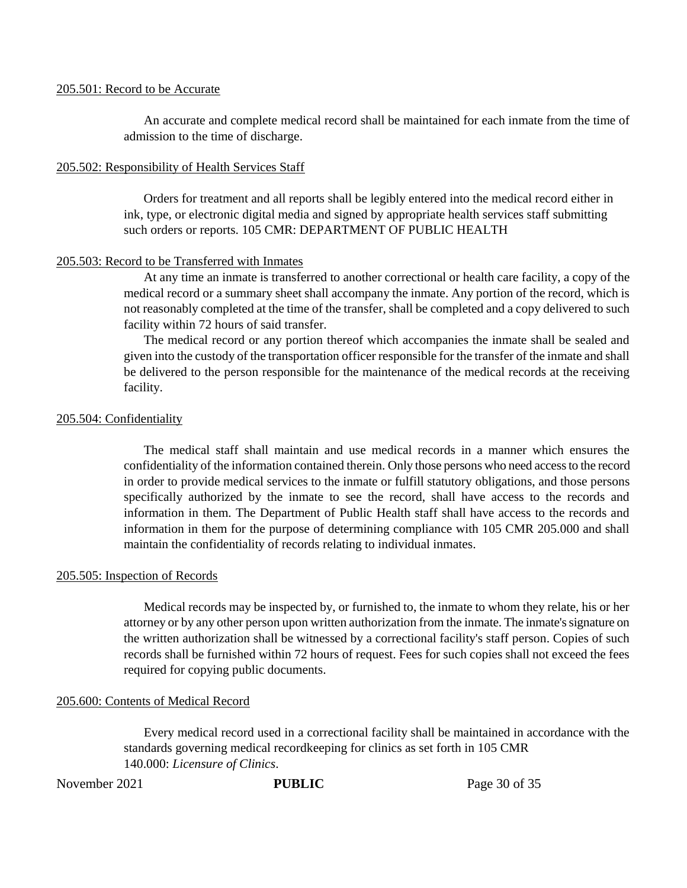#### 205.501: Record to be Accurate

An accurate and complete medical record shall be maintained for each inmate from the time of admission to the time of discharge.

#### 205.502: Responsibility of Health Services Staff

Orders for treatment and all reports shall be legibly entered into the medical record either in ink, type, or electronic digital media and signed by appropriate health services staff submitting such orders or reports. 105 CMR: DEPARTMENT OF PUBLIC HEALTH

#### 205.503: Record to be Transferred with Inmates

At any time an inmate is transferred to another correctional or health care facility, a copy of the medical record or a summary sheet shall accompany the inmate. Any portion of the record, which is not reasonably completed at the time of the transfer, shall be completed and a copy delivered to such facility within 72 hours of said transfer.

The medical record or any portion thereof which accompanies the inmate shall be sealed and given into the custody of the transportation officer responsible for the transfer of the inmate and shall be delivered to the person responsible for the maintenance of the medical records at the receiving facility.

#### 205.504: Confidentiality

The medical staff shall maintain and use medical records in a manner which ensures the confidentiality of the information contained therein. Only those persons who need access to the record in order to provide medical services to the inmate or fulfill statutory obligations, and those persons specifically authorized by the inmate to see the record, shall have access to the records and information in them. The Department of Public Health staff shall have access to the records and information in them for the purpose of determining compliance with 105 CMR 205.000 and shall maintain the confidentiality of records relating to individual inmates.

#### 205.505: Inspection of Records

Medical records may be inspected by, or furnished to, the inmate to whom they relate, his or her attorney or by any other person upon written authorization from the inmate. The inmate's signature on the written authorization shall be witnessed by a correctional facility's staff person. Copies of such records shall be furnished within 72 hours of request. Fees for such copies shall not exceed the fees required for copying public documents.

#### 205.600: Contents of Medical Record

Every medical record used in a correctional facility shall be maintained in accordance with the standards governing medical recordkeeping for clinics as set forth in 105 CMR 140.000: *Licensure of Clinics*.

November 2021 **PUBLIC** Page 30 of 35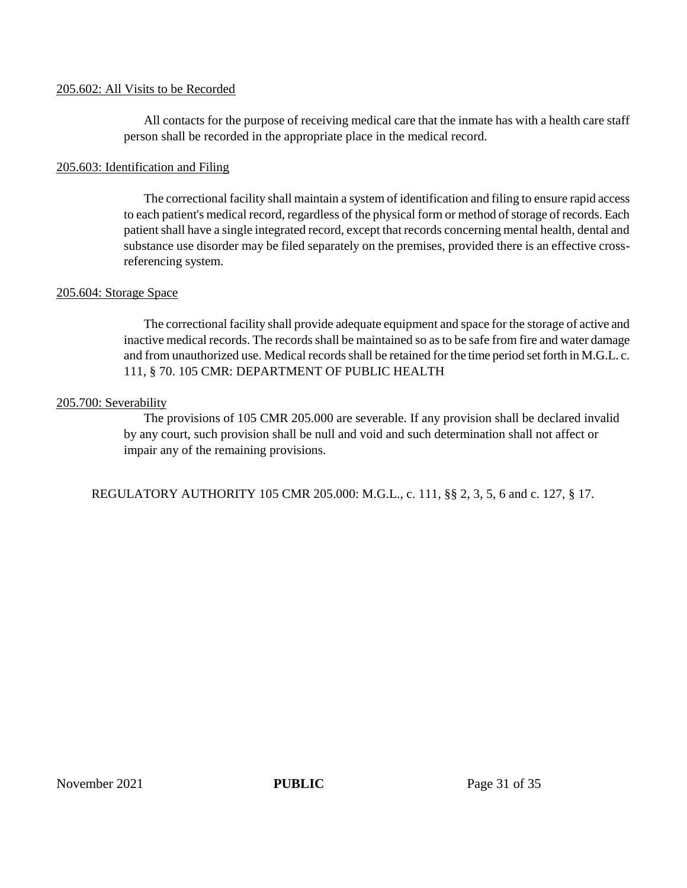#### 205.602: All Visits to be Recorded

All contacts for the purpose of receiving medical care that the inmate has with a health care staff person shall be recorded in the appropriate place in the medical record.

#### 205.603: Identification and Filing

The correctional facility shall maintain a system of identification and filing to ensure rapid access to each patient's medical record, regardless of the physical form or method of storage of records. Each patient shall have a single integrated record, except that records concerning mental health, dental and substance use disorder may be filed separately on the premises, provided there is an effective crossreferencing system.

#### 205.604: Storage Space

The correctional facility shall provide adequate equipment and space for the storage of active and inactive medical records. The records shall be maintained so as to be safe from fire and water damage and from unauthorized use. Medical records shall be retained for the time period set forth in M.G.L. c. 111, § 70. 105 CMR: DEPARTMENT OF PUBLIC HEALTH

#### 205.700: Severability

The provisions of 105 CMR 205.000 are severable. If any provision shall be declared invalid by any court, such provision shall be null and void and such determination shall not affect or impair any of the remaining provisions.

REGULATORY AUTHORITY 105 CMR 205.000: M.G.L., c. 111, §§ 2, 3, 5, 6 and c. 127, § 17.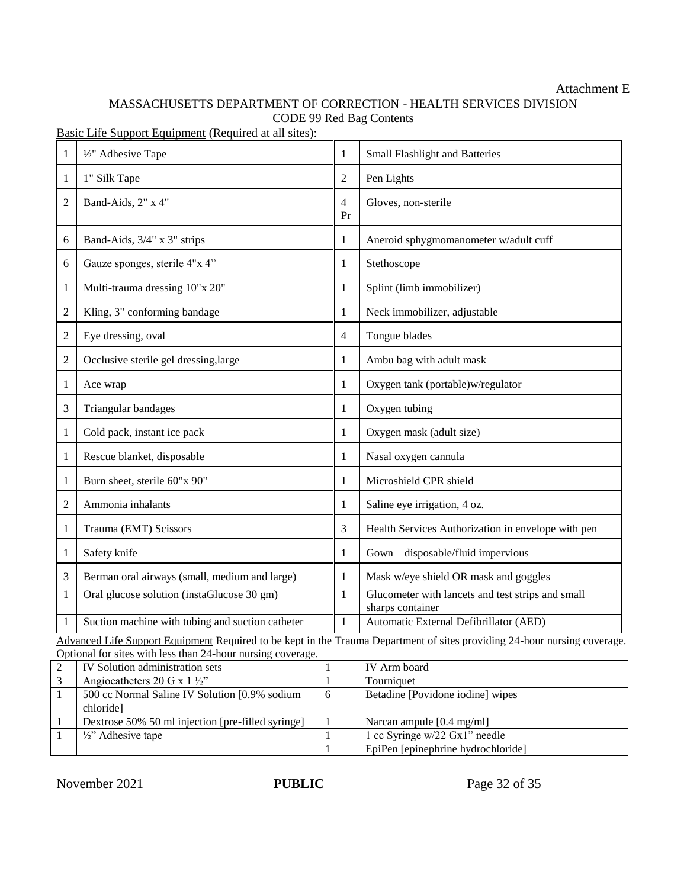### Attachment E

# MASSACHUSETTS DEPARTMENT OF CORRECTION - HEALTH SERVICES DIVISION CODE 99 Red Bag Contents

Basic Life Support Equipment (Required at all sites):

| 1              | 1/2" Adhesive Tape                                                                                                                                                                      | 1                    | Small Flashlight and Batteries                                        |  |  |
|----------------|-----------------------------------------------------------------------------------------------------------------------------------------------------------------------------------------|----------------------|-----------------------------------------------------------------------|--|--|
| 1              | 1" Silk Tape                                                                                                                                                                            | 2                    | Pen Lights                                                            |  |  |
| $\overline{2}$ | Band-Aids, 2" x 4"                                                                                                                                                                      | $\overline{4}$<br>Pr | Gloves, non-sterile                                                   |  |  |
| 6              | Band-Aids, 3/4" x 3" strips                                                                                                                                                             | 1                    | Aneroid sphygmomanometer w/adult cuff                                 |  |  |
| 6              | Gauze sponges, sterile 4"x 4"                                                                                                                                                           | 1                    | Stethoscope                                                           |  |  |
| 1              | Multi-trauma dressing 10"x 20"                                                                                                                                                          | 1                    | Splint (limb immobilizer)                                             |  |  |
| $\overline{c}$ | Kling, 3" conforming bandage                                                                                                                                                            | 1                    | Neck immobilizer, adjustable                                          |  |  |
| 2              | Eye dressing, oval                                                                                                                                                                      | 4                    | Tongue blades                                                         |  |  |
| 2              | Occlusive sterile gel dressing, large                                                                                                                                                   | 1                    | Ambu bag with adult mask                                              |  |  |
| 1              | Ace wrap                                                                                                                                                                                | 1                    | Oxygen tank (portable)w/regulator                                     |  |  |
| 3              | Triangular bandages                                                                                                                                                                     | 1                    | Oxygen tubing                                                         |  |  |
| 1              | Cold pack, instant ice pack                                                                                                                                                             | 1                    | Oxygen mask (adult size)                                              |  |  |
| 1              | Rescue blanket, disposable                                                                                                                                                              | 1                    | Nasal oxygen cannula                                                  |  |  |
| 1              | Burn sheet, sterile 60"x 90"                                                                                                                                                            | 1                    | Microshield CPR shield                                                |  |  |
| $\overline{2}$ | Ammonia inhalants                                                                                                                                                                       | 1                    | Saline eye irrigation, 4 oz.                                          |  |  |
| 1              | Trauma (EMT) Scissors                                                                                                                                                                   | 3                    | Health Services Authorization in envelope with pen                    |  |  |
| 1              | Safety knife                                                                                                                                                                            | 1                    | Gown - disposable/fluid impervious                                    |  |  |
| 3              | Berman oral airways (small, medium and large)                                                                                                                                           | 1                    | Mask w/eye shield OR mask and goggles                                 |  |  |
| 1              | Oral glucose solution (instaGlucose 30 gm)                                                                                                                                              | $\mathbf{1}$         | Glucometer with lancets and test strips and small<br>sharps container |  |  |
| 1              | Suction machine with tubing and suction catheter                                                                                                                                        | 1                    | Automatic External Defibrillator (AED)                                |  |  |
|                | Advanced Life Support Equipment Required to be kept in the Trauma Department of sites providing 24-hour nursing coverage.<br>Optional for gites with loss than 24 hour purging coverage |                      |                                                                       |  |  |

Optional for sites with less than 24-hour nursing coverage.

| IV Solution administration sets                   |   | IV Arm board                       |
|---------------------------------------------------|---|------------------------------------|
| Angiocatheters 20 G x 1 $\frac{1}{2}$ "           |   | Tourniquet                         |
| 500 cc Normal Saline IV Solution [0.9% sodium]    | 6 | Betadine [Povidone iodine] wipes   |
| chloride                                          |   |                                    |
| Dextrose 50% 50 ml injection [pre-filled syringe] |   | Narcan ampule [0.4 mg/ml]          |
| $\frac{1}{2}$ . Adhesive tape                     |   | 1 cc Syringe $w/22$ Gx1" needle    |
|                                                   |   | EpiPen [epinephrine hydrochloride] |

November 2021 **PUBLIC** Page 32 of 35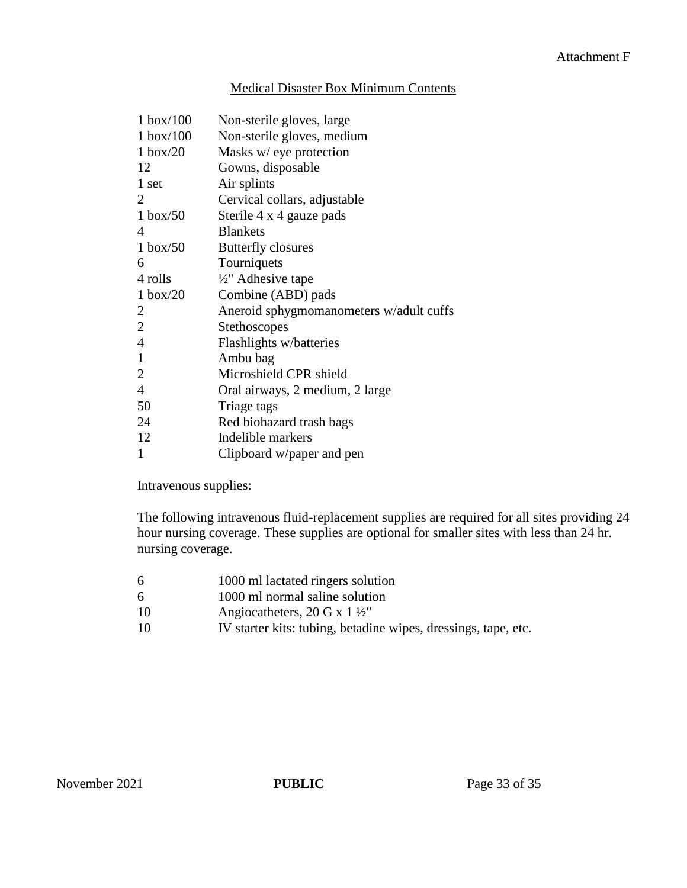### Medical Disaster Box Minimum Contents

| $1$ box/ $100$     | Non-sterile gloves, large               |
|--------------------|-----------------------------------------|
| $1$ box/ $100$     | Non-sterile gloves, medium              |
| $1 \text{ box}/20$ | Masks w/ eye protection                 |
| 12                 | Gowns, disposable                       |
| 1 set              | Air splints                             |
| 2                  | Cervical collars, adjustable            |
| $1$ box/50         | Sterile 4 x 4 gauze pads                |
| 4                  | <b>Blankets</b>                         |
| $1$ box/50         | <b>Butterfly closures</b>               |
| 6                  | Tourniquets                             |
| 4 rolls            | 1/2" Adhesive tape                      |
| $1 \text{ box}/20$ | Combine (ABD) pads                      |
| 2                  | Aneroid sphygmomanometers w/adult cuffs |
| $\overline{2}$     | Stethoscopes                            |
| $\overline{4}$     | Flashlights w/batteries                 |
| 1                  | Ambu bag                                |
| $\overline{2}$     | Microshield CPR shield                  |
| $\overline{4}$     | Oral airways, 2 medium, 2 large         |
| 50                 | Triage tags                             |
| 24                 | Red biohazard trash bags                |
| 12                 | Indelible markers                       |
| 1                  | Clipboard w/paper and pen               |

Intravenous supplies:

The following intravenous fluid-replacement supplies are required for all sites providing 24 hour nursing coverage. These supplies are optional for smaller sites with less than 24 hr. nursing coverage.

- 6 1000 ml lactated ringers solution
- 6 1000 ml normal saline solution
- 10 Angiocatheters, 20 G x 1 ½"
- 10 IV starter kits: tubing, betadine wipes, dressings, tape, etc.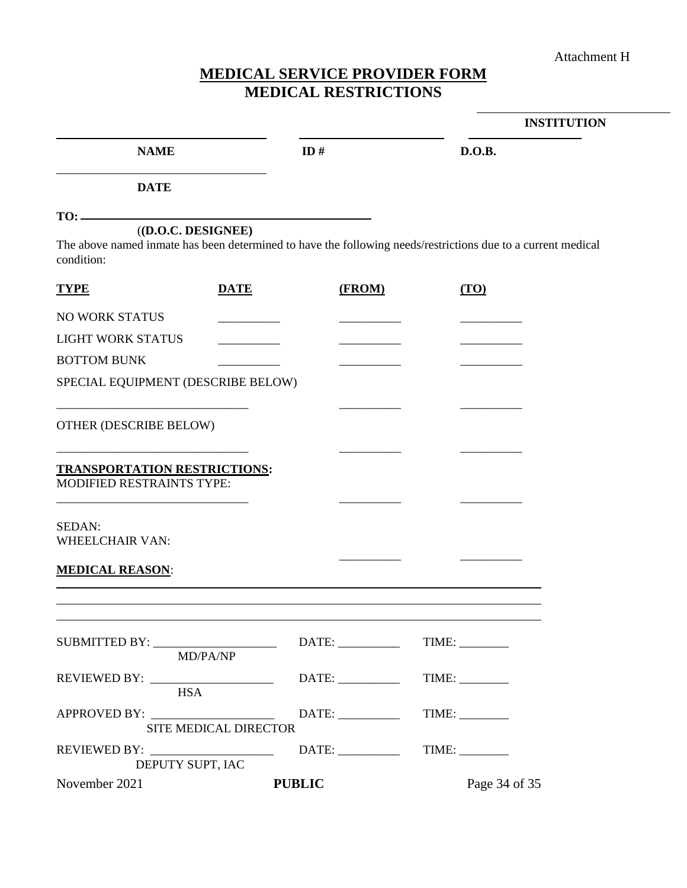Attachment H

# **MEDICAL SERVICE PROVIDER FORM MEDICAL RESTRICTIONS**

|                                                                                                                                                           |                              |        |               | <b>INSTITUTION</b> |
|-----------------------------------------------------------------------------------------------------------------------------------------------------------|------------------------------|--------|---------------|--------------------|
| <b>NAME</b>                                                                                                                                               |                              | ID#    | D.O.B.        |                    |
| <b>DATE</b>                                                                                                                                               |                              |        |               |                    |
|                                                                                                                                                           |                              |        |               |                    |
| ( (D.O.C. <b>DESIGNEE</b> )<br>The above named inmate has been determined to have the following needs/restrictions due to a current medical<br>condition: |                              |        |               |                    |
| <b>TYPE</b>                                                                                                                                               | <b>DATE</b>                  | (FROM) | (TO)          |                    |
| <b>NO WORK STATUS</b>                                                                                                                                     |                              |        |               |                    |
| <b>LIGHT WORK STATUS</b>                                                                                                                                  |                              |        |               |                    |
| <b>BOTTOM BUNK</b>                                                                                                                                        |                              |        |               |                    |
| SPECIAL EQUIPMENT (DESCRIBE BELOW)                                                                                                                        |                              |        |               |                    |
| OTHER (DESCRIBE BELOW)                                                                                                                                    |                              |        |               |                    |
| <b>TRANSPORTATION RESTRICTIONS:</b><br>MODIFIED RESTRAINTS TYPE:                                                                                          |                              |        |               |                    |
| SEDAN:<br><b>WHEELCHAIR VAN:</b>                                                                                                                          |                              |        |               |                    |
| <b>MEDICAL REASON:</b>                                                                                                                                    |                              |        |               |                    |
|                                                                                                                                                           |                              |        |               |                    |
|                                                                                                                                                           | MD/PA/NP                     |        | TIME:         |                    |
| <b>HSA</b>                                                                                                                                                |                              |        | TIME:         |                    |
|                                                                                                                                                           | <b>SITE MEDICAL DIRECTOR</b> |        | TIME:         |                    |
| DEPUTY SUPT, IAC                                                                                                                                          |                              |        |               |                    |
| November 2021                                                                                                                                             | <b>PUBLIC</b>                |        | Page 34 of 35 |                    |